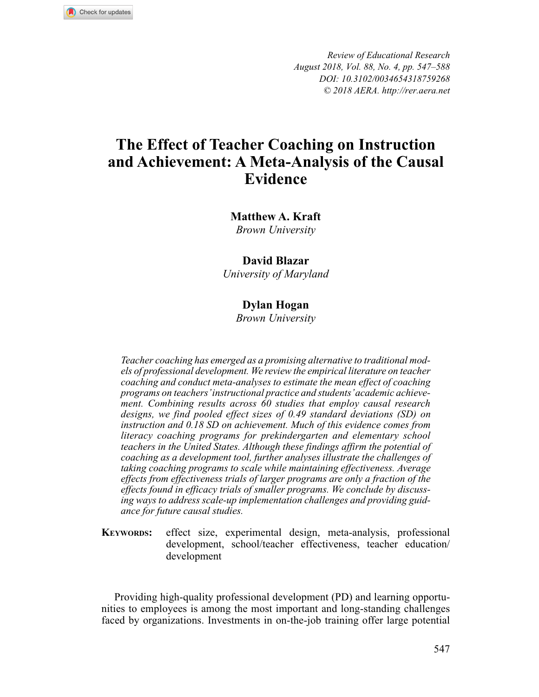

*Review of Educational Research August 2018, Vol. 88, No. 4, pp. 547–588 DOI: 10.3102/0034654318759268 © 2018 AERA. http://rer.aera.net*

# **The Effect of Teacher Coaching on Instruction and Achievement: A Meta-Analysis of the Causal Evidence**

**Matthew A. Kraft** *Brown University*

# **David Blazar**

*University of Maryland*

# **Dylan Hogan**

*Brown University*

*Teacher coaching has emerged as a promising alternative to traditional models of professional development. We review the empirical literature on teacher coaching and conduct meta-analyses to estimate the mean effect of coaching programs on teachers' instructional practice and students' academic achievement. Combining results across 60 studies that employ causal research designs, we find pooled effect sizes of 0.49 standard deviations (SD) on instruction and 0.18 SD on achievement. Much of this evidence comes from literacy coaching programs for prekindergarten and elementary school teachers in the United States. Although these findings affirm the potential of coaching as a development tool, further analyses illustrate the challenges of taking coaching programs to scale while maintaining effectiveness. Average effects from effectiveness trials of larger programs are only a fraction of the effects found in efficacy trials of smaller programs. We conclude by discussing ways to address scale-up implementation challenges and providing guidance for future causal studies.*

**KEYWORDS:** effect size, experimental design, meta-analysis, professional development, school/teacher effectiveness, teacher education/ development

Providing high-quality professional development (PD) and learning opportunities to employees is among the most important and long-standing challenges faced by organizations. Investments in on-the-job training offer large potential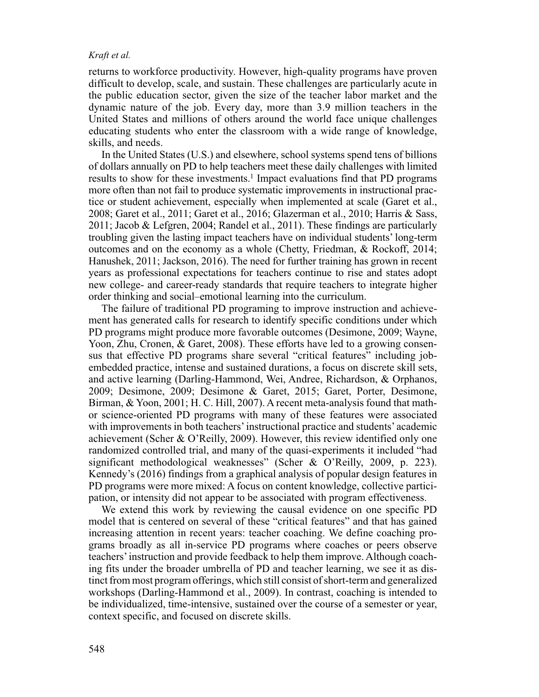returns to workforce productivity. However, high-quality programs have proven difficult to develop, scale, and sustain. These challenges are particularly acute in the public education sector, given the size of the teacher labor market and the dynamic nature of the job. Every day, more than 3.9 million teachers in the United States and millions of others around the world face unique challenges educating students who enter the classroom with a wide range of knowledge, skills, and needs.

In the United States (U.S.) and elsewhere, school systems spend tens of billions of dollars annually on PD to help teachers meet these daily challenges with limited results to show for these investments.1 Impact evaluations find that PD programs more often than not fail to produce systematic improvements in instructional practice or student achievement, especially when implemented at scale (Garet et al., 2008; Garet et al., 2011; Garet et al., 2016; Glazerman et al., 2010; Harris & Sass, 2011; Jacob & Lefgren, 2004; Randel et al., 2011). These findings are particularly troubling given the lasting impact teachers have on individual students' long-term outcomes and on the economy as a whole (Chetty, Friedman, & Rockoff, 2014; Hanushek, 2011; Jackson, 2016). The need for further training has grown in recent years as professional expectations for teachers continue to rise and states adopt new college- and career-ready standards that require teachers to integrate higher order thinking and social–emotional learning into the curriculum.

The failure of traditional PD programing to improve instruction and achievement has generated calls for research to identify specific conditions under which PD programs might produce more favorable outcomes (Desimone, 2009; Wayne, Yoon, Zhu, Cronen, & Garet, 2008). These efforts have led to a growing consensus that effective PD programs share several "critical features" including jobembedded practice, intense and sustained durations, a focus on discrete skill sets, and active learning (Darling-Hammond, Wei, Andree, Richardson, & Orphanos, 2009; Desimone, 2009; Desimone & Garet, 2015; Garet, Porter, Desimone, Birman, & Yoon, 2001; H. C. Hill, 2007). A recent meta-analysis found that mathor science-oriented PD programs with many of these features were associated with improvements in both teachers' instructional practice and students' academic achievement (Scher & O'Reilly, 2009). However, this review identified only one randomized controlled trial, and many of the quasi-experiments it included "had significant methodological weaknesses" (Scher & O'Reilly, 2009, p. 223). Kennedy's (2016) findings from a graphical analysis of popular design features in PD programs were more mixed: A focus on content knowledge, collective participation, or intensity did not appear to be associated with program effectiveness.

We extend this work by reviewing the causal evidence on one specific PD model that is centered on several of these "critical features" and that has gained increasing attention in recent years: teacher coaching. We define coaching programs broadly as all in-service PD programs where coaches or peers observe teachers' instruction and provide feedback to help them improve. Although coaching fits under the broader umbrella of PD and teacher learning, we see it as distinct from most program offerings, which still consist of short-term and generalized workshops (Darling-Hammond et al., 2009). In contrast, coaching is intended to be individualized, time-intensive, sustained over the course of a semester or year, context specific, and focused on discrete skills.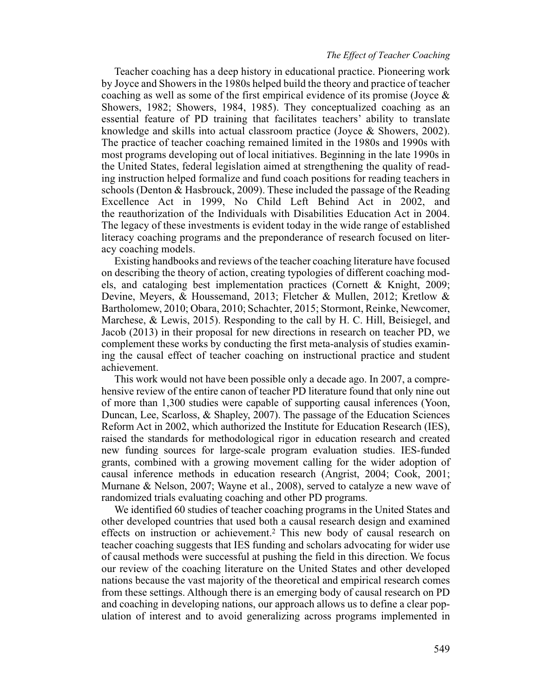# *The Effect of Teacher Coaching*

Teacher coaching has a deep history in educational practice. Pioneering work by Joyce and Showers in the 1980s helped build the theory and practice of teacher coaching as well as some of the first empirical evidence of its promise (Joyce & Showers, 1982; Showers, 1984, 1985). They conceptualized coaching as an essential feature of PD training that facilitates teachers' ability to translate knowledge and skills into actual classroom practice (Joyce & Showers, 2002). The practice of teacher coaching remained limited in the 1980s and 1990s with most programs developing out of local initiatives. Beginning in the late 1990s in the United States, federal legislation aimed at strengthening the quality of reading instruction helped formalize and fund coach positions for reading teachers in schools (Denton & Hasbrouck, 2009). These included the passage of the Reading Excellence Act in 1999, No Child Left Behind Act in 2002, and the reauthorization of the Individuals with Disabilities Education Act in 2004. The legacy of these investments is evident today in the wide range of established literacy coaching programs and the preponderance of research focused on literacy coaching models.

Existing handbooks and reviews of the teacher coaching literature have focused on describing the theory of action, creating typologies of different coaching models, and cataloging best implementation practices (Cornett & Knight, 2009; Devine, Meyers, & Houssemand, 2013; Fletcher & Mullen, 2012; Kretlow & Bartholomew, 2010; Obara, 2010; Schachter, 2015; Stormont, Reinke, Newcomer, Marchese, & Lewis, 2015). Responding to the call by H. C. Hill, Beisiegel, and Jacob (2013) in their proposal for new directions in research on teacher PD, we complement these works by conducting the first meta-analysis of studies examining the causal effect of teacher coaching on instructional practice and student achievement.

This work would not have been possible only a decade ago. In 2007, a comprehensive review of the entire canon of teacher PD literature found that only nine out of more than 1,300 studies were capable of supporting causal inferences (Yoon, Duncan, Lee, Scarloss, & Shapley, 2007). The passage of the Education Sciences Reform Act in 2002, which authorized the Institute for Education Research (IES), raised the standards for methodological rigor in education research and created new funding sources for large-scale program evaluation studies. IES-funded grants, combined with a growing movement calling for the wider adoption of causal inference methods in education research (Angrist, 2004; Cook, 2001; Murnane & Nelson, 2007; Wayne et al., 2008), served to catalyze a new wave of randomized trials evaluating coaching and other PD programs.

We identified 60 studies of teacher coaching programs in the United States and other developed countries that used both a causal research design and examined effects on instruction or achievement.2 This new body of causal research on teacher coaching suggests that IES funding and scholars advocating for wider use of causal methods were successful at pushing the field in this direction. We focus our review of the coaching literature on the United States and other developed nations because the vast majority of the theoretical and empirical research comes from these settings. Although there is an emerging body of causal research on PD and coaching in developing nations, our approach allows us to define a clear population of interest and to avoid generalizing across programs implemented in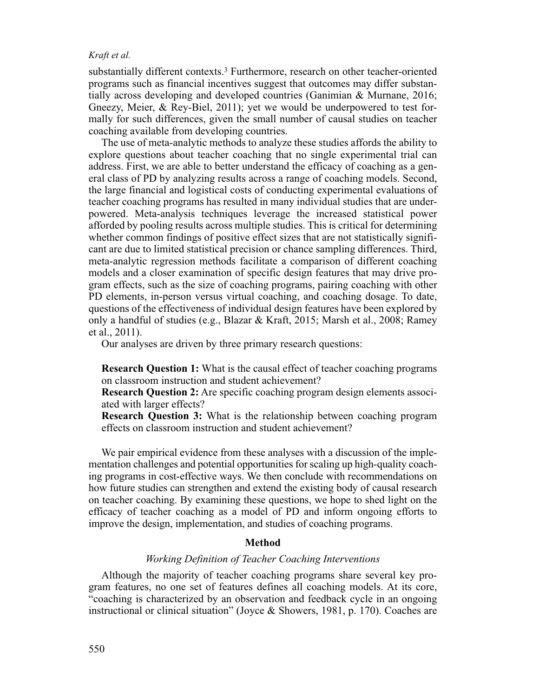substantially different contexts.3 Furthermore, research on other teacher-oriented programs such as financial incentives suggest that outcomes may differ substantially across developing and developed countries (Ganimian & Murnane, 2016; Gneezy, Meier, & Rey-Biel, 2011); yet we would be underpowered to test formally for such differences, given the small number of causal studies on teacher coaching available from developing countries.

The use of meta-analytic methods to analyze these studies affords the ability to explore questions about teacher coaching that no single experimental trial can address. First, we are able to better understand the efficacy of coaching as a general class of PD by analyzing results across a range of coaching models. Second, the large financial and logistical costs of conducting experimental evaluations of teacher coaching programs has resulted in many individual studies that are underpowered. Meta-analysis techniques leverage the increased statistical power afforded by pooling results across multiple studies. This is critical for determining whether common findings of positive effect sizes that are not statistically significant are due to limited statistical precision or chance sampling differences. Third, meta-analytic regression methods facilitate a comparison of different coaching models and a closer examination of specific design features that may drive program effects, such as the size of coaching programs, pairing coaching with other PD elements, in-person versus virtual coaching, and coaching dosage. To date, questions of the effectiveness of individual design features have been explored by only a handful of studies (e.g., Blazar & Kraft, 2015; Marsh et al., 2008; Ramey et al., 2011).

Our analyses are driven by three primary research questions:

**Research Question 1:** What is the causal effect of teacher coaching programs on classroom instruction and student achievement?

**Research Question 2:** Are specific coaching program design elements associated with larger effects?

**Research Question 3:** What is the relationship between coaching program effects on classroom instruction and student achievement?

We pair empirical evidence from these analyses with a discussion of the implementation challenges and potential opportunities for scaling up high-quality coaching programs in cost-effective ways. We then conclude with recommendations on how future studies can strengthen and extend the existing body of causal research on teacher coaching. By examining these questions, we hope to shed light on the efficacy of teacher coaching as a model of PD and inform ongoing efforts to improve the design, implementation, and studies of coaching programs.

# **Method**

# *Working Definition of Teacher Coaching Interventions*

Although the majority of teacher coaching programs share several key program features, no one set of features defines all coaching models. At its core, "coaching is characterized by an observation and feedback cycle in an ongoing instructional or clinical situation" (Joyce & Showers, 1981, p. 170). Coaches are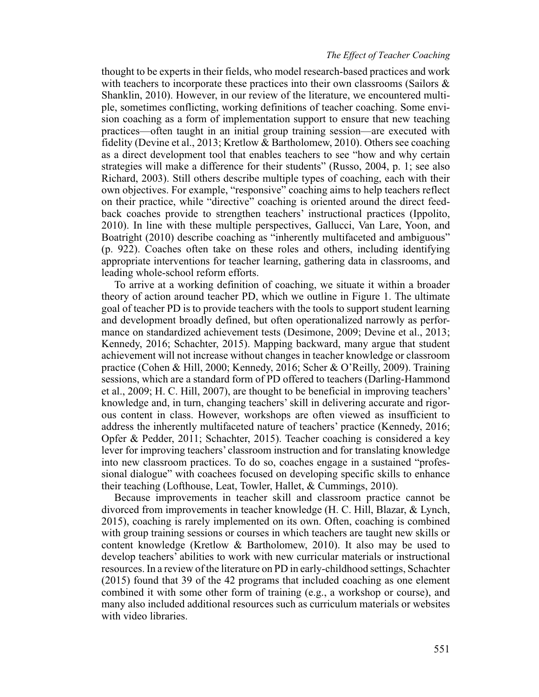# *The Effect of Teacher Coaching*

thought to be experts in their fields, who model research-based practices and work with teachers to incorporate these practices into their own classrooms (Sailors & Shanklin, 2010). However, in our review of the literature, we encountered multiple, sometimes conflicting, working definitions of teacher coaching. Some envision coaching as a form of implementation support to ensure that new teaching practices—often taught in an initial group training session—are executed with fidelity (Devine et al., 2013; Kretlow & Bartholomew, 2010). Others see coaching as a direct development tool that enables teachers to see "how and why certain strategies will make a difference for their students" (Russo, 2004, p. 1; see also Richard, 2003). Still others describe multiple types of coaching, each with their own objectives. For example, "responsive" coaching aims to help teachers reflect on their practice, while "directive" coaching is oriented around the direct feedback coaches provide to strengthen teachers' instructional practices (Ippolito, 2010). In line with these multiple perspectives, Gallucci, Van Lare, Yoon, and Boatright (2010) describe coaching as "inherently multifaceted and ambiguous" (p. 922). Coaches often take on these roles and others, including identifying appropriate interventions for teacher learning, gathering data in classrooms, and leading whole-school reform efforts.

To arrive at a working definition of coaching, we situate it within a broader theory of action around teacher PD, which we outline in Figure 1. The ultimate goal of teacher PD is to provide teachers with the tools to support student learning and development broadly defined, but often operationalized narrowly as performance on standardized achievement tests (Desimone, 2009; Devine et al., 2013; Kennedy, 2016; Schachter, 2015). Mapping backward, many argue that student achievement will not increase without changes in teacher knowledge or classroom practice (Cohen & Hill, 2000; Kennedy, 2016; Scher & O'Reilly, 2009). Training sessions, which are a standard form of PD offered to teachers (Darling-Hammond et al., 2009; H. C. Hill, 2007), are thought to be beneficial in improving teachers' knowledge and, in turn, changing teachers' skill in delivering accurate and rigorous content in class. However, workshops are often viewed as insufficient to address the inherently multifaceted nature of teachers' practice (Kennedy, 2016; Opfer & Pedder, 2011; Schachter, 2015). Teacher coaching is considered a key lever for improving teachers' classroom instruction and for translating knowledge into new classroom practices. To do so, coaches engage in a sustained "professional dialogue" with coachees focused on developing specific skills to enhance their teaching (Lofthouse, Leat, Towler, Hallet, & Cummings, 2010).

Because improvements in teacher skill and classroom practice cannot be divorced from improvements in teacher knowledge (H. C. Hill, Blazar, & Lynch, 2015), coaching is rarely implemented on its own. Often, coaching is combined with group training sessions or courses in which teachers are taught new skills or content knowledge (Kretlow & Bartholomew, 2010). It also may be used to develop teachers' abilities to work with new curricular materials or instructional resources. In a review of the literature on PD in early-childhood settings, Schachter (2015) found that 39 of the 42 programs that included coaching as one element combined it with some other form of training (e.g., a workshop or course), and many also included additional resources such as curriculum materials or websites with video libraries.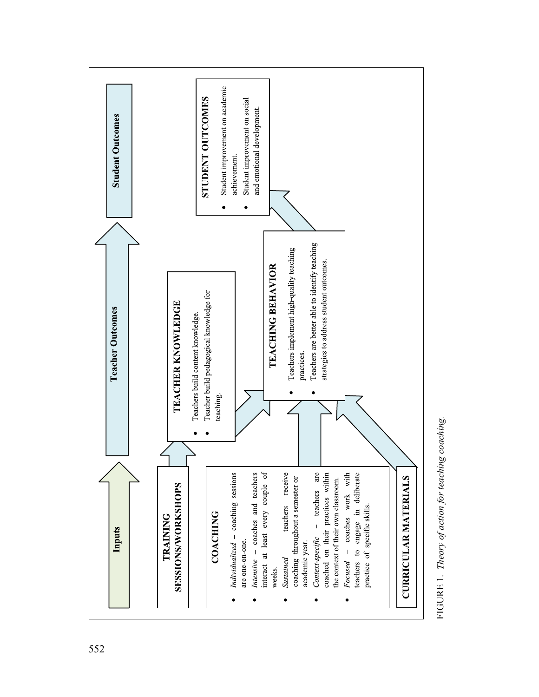

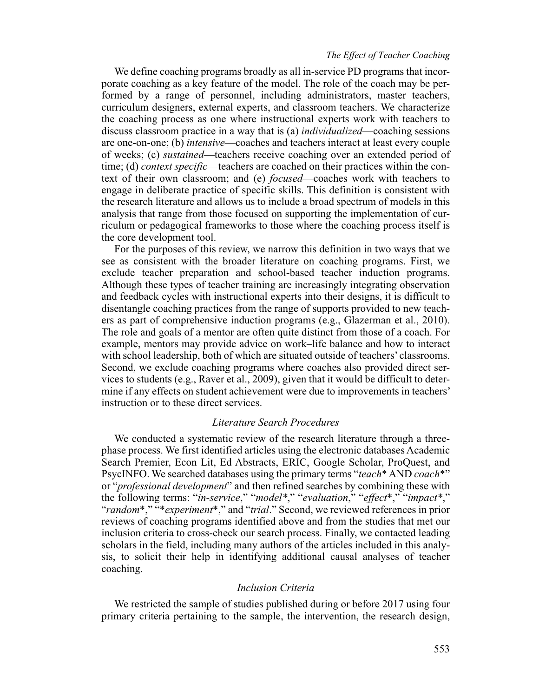# *The Effect of Teacher Coaching*

We define coaching programs broadly as all in-service PD programs that incorporate coaching as a key feature of the model. The role of the coach may be performed by a range of personnel, including administrators, master teachers, curriculum designers, external experts, and classroom teachers. We characterize the coaching process as one where instructional experts work with teachers to discuss classroom practice in a way that is (a) *individualized*—coaching sessions are one-on-one; (b) *intensive*—coaches and teachers interact at least every couple of weeks; (c) *sustained*—teachers receive coaching over an extended period of time; (d) *context specific*—teachers are coached on their practices within the context of their own classroom; and (e) *focused*—coaches work with teachers to engage in deliberate practice of specific skills. This definition is consistent with the research literature and allows us to include a broad spectrum of models in this analysis that range from those focused on supporting the implementation of curriculum or pedagogical frameworks to those where the coaching process itself is the core development tool.

For the purposes of this review, we narrow this definition in two ways that we see as consistent with the broader literature on coaching programs. First, we exclude teacher preparation and school-based teacher induction programs. Although these types of teacher training are increasingly integrating observation and feedback cycles with instructional experts into their designs, it is difficult to disentangle coaching practices from the range of supports provided to new teachers as part of comprehensive induction programs (e.g., Glazerman et al., 2010). The role and goals of a mentor are often quite distinct from those of a coach. For example, mentors may provide advice on work–life balance and how to interact with school leadership, both of which are situated outside of teachers' classrooms. Second, we exclude coaching programs where coaches also provided direct services to students (e.g., Raver et al., 2009), given that it would be difficult to determine if any effects on student achievement were due to improvements in teachers' instruction or to these direct services.

# *Literature Search Procedures*

We conducted a systematic review of the research literature through a threephase process. We first identified articles using the electronic databases Academic Search Premier, Econ Lit, Ed Abstracts, ERIC, Google Scholar, ProQuest, and PsycINFO. We searched databases using the primary terms "*teach*\* AND *coach*\*" or "*professional development*" and then refined searches by combining these with the following terms: "*in-service*," "*model\**," "*evaluation*," "*effect*\*," "*impact\**," "*random*\*," "\**experiment*\*," and "*trial*." Second, we reviewed references in prior reviews of coaching programs identified above and from the studies that met our inclusion criteria to cross-check our search process. Finally, we contacted leading scholars in the field, including many authors of the articles included in this analysis, to solicit their help in identifying additional causal analyses of teacher coaching.

# *Inclusion Criteria*

We restricted the sample of studies published during or before 2017 using four primary criteria pertaining to the sample, the intervention, the research design,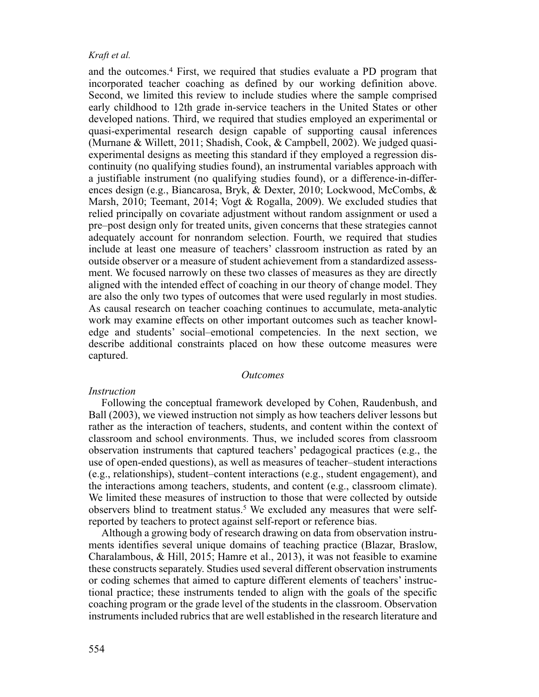and the outcomes.4 First, we required that studies evaluate a PD program that incorporated teacher coaching as defined by our working definition above. Second, we limited this review to include studies where the sample comprised early childhood to 12th grade in-service teachers in the United States or other developed nations. Third, we required that studies employed an experimental or quasi-experimental research design capable of supporting causal inferences (Murnane & Willett, 2011; Shadish, Cook, & Campbell, 2002). We judged quasiexperimental designs as meeting this standard if they employed a regression discontinuity (no qualifying studies found), an instrumental variables approach with a justifiable instrument (no qualifying studies found), or a difference-in-differences design (e.g., Biancarosa, Bryk, & Dexter, 2010; Lockwood, McCombs, & Marsh, 2010; Teemant, 2014; Vogt & Rogalla, 2009). We excluded studies that relied principally on covariate adjustment without random assignment or used a pre–post design only for treated units, given concerns that these strategies cannot adequately account for nonrandom selection. Fourth, we required that studies include at least one measure of teachers' classroom instruction as rated by an outside observer or a measure of student achievement from a standardized assessment. We focused narrowly on these two classes of measures as they are directly aligned with the intended effect of coaching in our theory of change model. They are also the only two types of outcomes that were used regularly in most studies. As causal research on teacher coaching continues to accumulate, meta-analytic work may examine effects on other important outcomes such as teacher knowledge and students' social–emotional competencies. In the next section, we describe additional constraints placed on how these outcome measures were captured.

#### *Outcomes*

### *Instruction*

Following the conceptual framework developed by Cohen, Raudenbush, and Ball (2003), we viewed instruction not simply as how teachers deliver lessons but rather as the interaction of teachers, students, and content within the context of classroom and school environments. Thus, we included scores from classroom observation instruments that captured teachers' pedagogical practices (e.g., the use of open-ended questions), as well as measures of teacher–student interactions (e.g., relationships), student–content interactions (e.g., student engagement), and the interactions among teachers, students, and content (e.g., classroom climate). We limited these measures of instruction to those that were collected by outside observers blind to treatment status.<sup>5</sup> We excluded any measures that were selfreported by teachers to protect against self-report or reference bias.

Although a growing body of research drawing on data from observation instruments identifies several unique domains of teaching practice (Blazar, Braslow, Charalambous, & Hill, 2015; Hamre et al., 2013), it was not feasible to examine these constructs separately. Studies used several different observation instruments or coding schemes that aimed to capture different elements of teachers' instructional practice; these instruments tended to align with the goals of the specific coaching program or the grade level of the students in the classroom. Observation instruments included rubrics that are well established in the research literature and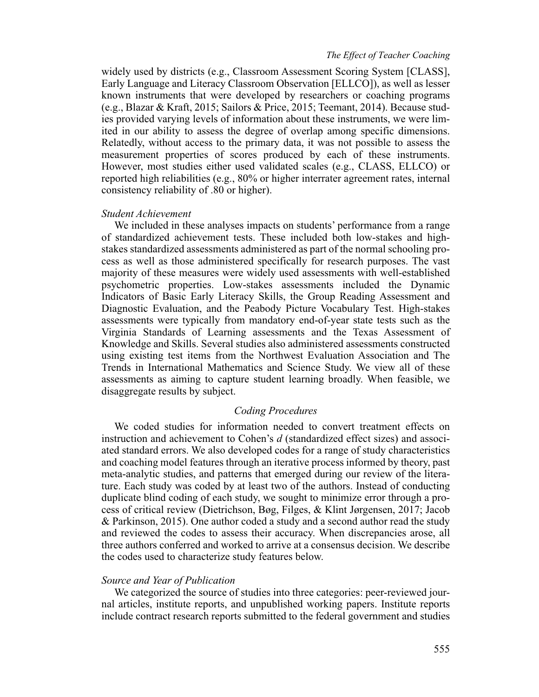widely used by districts (e.g., Classroom Assessment Scoring System [CLASS], Early Language and Literacy Classroom Observation [ELLCO]), as well as lesser known instruments that were developed by researchers or coaching programs (e.g., Blazar & Kraft, 2015; Sailors & Price, 2015; Teemant, 2014). Because studies provided varying levels of information about these instruments, we were limited in our ability to assess the degree of overlap among specific dimensions. Relatedly, without access to the primary data, it was not possible to assess the measurement properties of scores produced by each of these instruments. However, most studies either used validated scales (e.g., CLASS, ELLCO) or reported high reliabilities (e.g., 80% or higher interrater agreement rates, internal consistency reliability of .80 or higher).

# *Student Achievement*

We included in these analyses impacts on students' performance from a range of standardized achievement tests. These included both low-stakes and highstakes standardized assessments administered as part of the normal schooling process as well as those administered specifically for research purposes. The vast majority of these measures were widely used assessments with well-established psychometric properties. Low-stakes assessments included the Dynamic Indicators of Basic Early Literacy Skills, the Group Reading Assessment and Diagnostic Evaluation, and the Peabody Picture Vocabulary Test. High-stakes assessments were typically from mandatory end-of-year state tests such as the Virginia Standards of Learning assessments and the Texas Assessment of Knowledge and Skills. Several studies also administered assessments constructed using existing test items from the Northwest Evaluation Association and The Trends in International Mathematics and Science Study. We view all of these assessments as aiming to capture student learning broadly. When feasible, we disaggregate results by subject.

# *Coding Procedures*

We coded studies for information needed to convert treatment effects on instruction and achievement to Cohen's *d* (standardized effect sizes) and associated standard errors. We also developed codes for a range of study characteristics and coaching model features through an iterative process informed by theory, past meta-analytic studies, and patterns that emerged during our review of the literature. Each study was coded by at least two of the authors. Instead of conducting duplicate blind coding of each study, we sought to minimize error through a process of critical review (Dietrichson, Bøg, Filges, & Klint Jørgensen, 2017; Jacob & Parkinson, 2015). One author coded a study and a second author read the study and reviewed the codes to assess their accuracy. When discrepancies arose, all three authors conferred and worked to arrive at a consensus decision. We describe the codes used to characterize study features below.

# *Source and Year of Publication*

We categorized the source of studies into three categories: peer-reviewed journal articles, institute reports, and unpublished working papers. Institute reports include contract research reports submitted to the federal government and studies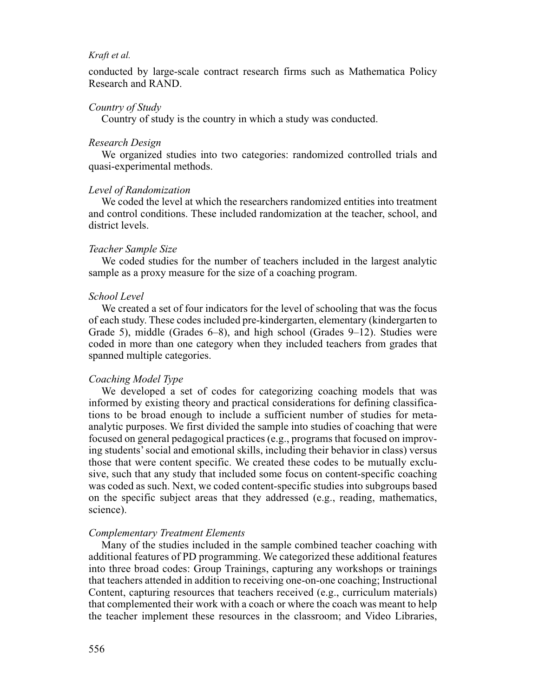conducted by large-scale contract research firms such as Mathematica Policy Research and RAND.

# *Country of Study*

Country of study is the country in which a study was conducted.

# *Research Design*

We organized studies into two categories: randomized controlled trials and quasi-experimental methods.

# *Level of Randomization*

We coded the level at which the researchers randomized entities into treatment and control conditions. These included randomization at the teacher, school, and district levels.

# *Teacher Sample Size*

We coded studies for the number of teachers included in the largest analytic sample as a proxy measure for the size of a coaching program.

### *School Level*

We created a set of four indicators for the level of schooling that was the focus of each study. These codes included pre-kindergarten, elementary (kindergarten to Grade 5), middle (Grades 6–8), and high school (Grades 9–12). Studies were coded in more than one category when they included teachers from grades that spanned multiple categories.

# *Coaching Model Type*

We developed a set of codes for categorizing coaching models that was informed by existing theory and practical considerations for defining classifications to be broad enough to include a sufficient number of studies for metaanalytic purposes. We first divided the sample into studies of coaching that were focused on general pedagogical practices (e.g., programs that focused on improving students' social and emotional skills, including their behavior in class) versus those that were content specific. We created these codes to be mutually exclusive, such that any study that included some focus on content-specific coaching was coded as such. Next, we coded content-specific studies into subgroups based on the specific subject areas that they addressed (e.g., reading, mathematics, science).

### *Complementary Treatment Elements*

Many of the studies included in the sample combined teacher coaching with additional features of PD programming. We categorized these additional features into three broad codes: Group Trainings, capturing any workshops or trainings that teachers attended in addition to receiving one-on-one coaching; Instructional Content, capturing resources that teachers received (e.g., curriculum materials) that complemented their work with a coach or where the coach was meant to help the teacher implement these resources in the classroom; and Video Libraries,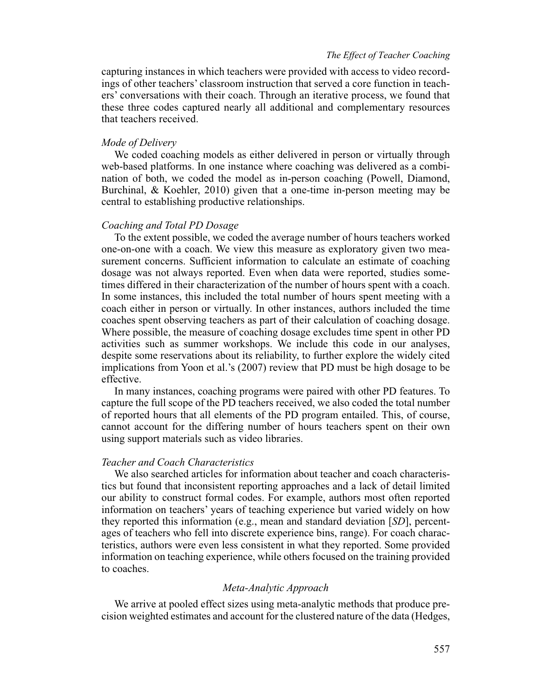capturing instances in which teachers were provided with access to video recordings of other teachers' classroom instruction that served a core function in teachers' conversations with their coach. Through an iterative process, we found that these three codes captured nearly all additional and complementary resources that teachers received.

# *Mode of Delivery*

We coded coaching models as either delivered in person or virtually through web-based platforms. In one instance where coaching was delivered as a combination of both, we coded the model as in-person coaching (Powell, Diamond, Burchinal, & Koehler, 2010) given that a one-time in-person meeting may be central to establishing productive relationships.

# *Coaching and Total PD Dosage*

To the extent possible, we coded the average number of hours teachers worked one-on-one with a coach. We view this measure as exploratory given two measurement concerns. Sufficient information to calculate an estimate of coaching dosage was not always reported. Even when data were reported, studies sometimes differed in their characterization of the number of hours spent with a coach. In some instances, this included the total number of hours spent meeting with a coach either in person or virtually. In other instances, authors included the time coaches spent observing teachers as part of their calculation of coaching dosage. Where possible, the measure of coaching dosage excludes time spent in other PD activities such as summer workshops. We include this code in our analyses, despite some reservations about its reliability, to further explore the widely cited implications from Yoon et al.'s (2007) review that PD must be high dosage to be effective.

In many instances, coaching programs were paired with other PD features. To capture the full scope of the PD teachers received, we also coded the total number of reported hours that all elements of the PD program entailed. This, of course, cannot account for the differing number of hours teachers spent on their own using support materials such as video libraries.

# *Teacher and Coach Characteristics*

We also searched articles for information about teacher and coach characteristics but found that inconsistent reporting approaches and a lack of detail limited our ability to construct formal codes. For example, authors most often reported information on teachers' years of teaching experience but varied widely on how they reported this information (e.g., mean and standard deviation [*SD*], percentages of teachers who fell into discrete experience bins, range). For coach characteristics, authors were even less consistent in what they reported. Some provided information on teaching experience, while others focused on the training provided to coaches.

# *Meta-Analytic Approach*

We arrive at pooled effect sizes using meta-analytic methods that produce precision weighted estimates and account for the clustered nature of the data (Hedges,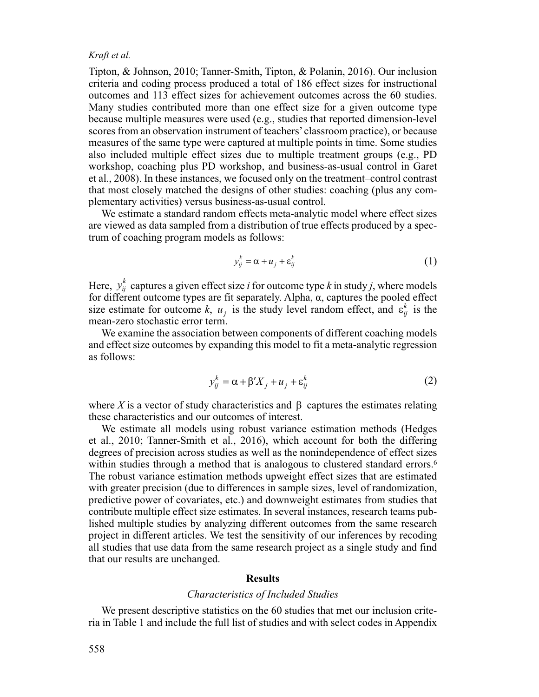Tipton, & Johnson, 2010; Tanner-Smith, Tipton, & Polanin, 2016). Our inclusion criteria and coding process produced a total of 186 effect sizes for instructional outcomes and 113 effect sizes for achievement outcomes across the 60 studies. Many studies contributed more than one effect size for a given outcome type because multiple measures were used (e.g., studies that reported dimension-level scores from an observation instrument of teachers' classroom practice), or because measures of the same type were captured at multiple points in time. Some studies also included multiple effect sizes due to multiple treatment groups (e.g., PD workshop, coaching plus PD workshop, and business-as-usual control in Garet et al., 2008). In these instances, we focused only on the treatment–control contrast that most closely matched the designs of other studies: coaching (plus any complementary activities) versus business-as-usual control.

We estimate a standard random effects meta-analytic model where effect sizes are viewed as data sampled from a distribution of true effects produced by a spectrum of coaching program models as follows:

$$
y_{ij}^k = \alpha + u_j + \varepsilon_{ij}^k \tag{1}
$$

Here,  $y_{ij}^k$  captures a given effect size *i* for outcome type *k* in study *j*, where models for different outcome types are fit separately. Alpha, α, captures the pooled effect size estimate for outcome *k*,  $u_j$  is the study level random effect, and  $\varepsilon_{ij}^k$  is the mean-zero stochastic error term.

We examine the association between components of different coaching models and effect size outcomes by expanding this model to fit a meta-analytic regression as follows:

$$
y_{ij}^k = \alpha + \beta' X_j + u_j + \varepsilon_{ij}^k
$$
 (2)

where *X* is a vector of study characteristics and  $\beta$  captures the estimates relating these characteristics and our outcomes of interest.

We estimate all models using robust variance estimation methods (Hedges et al., 2010; Tanner-Smith et al., 2016), which account for both the differing degrees of precision across studies as well as the nonindependence of effect sizes within studies through a method that is analogous to clustered standard errors.<sup>6</sup> The robust variance estimation methods upweight effect sizes that are estimated with greater precision (due to differences in sample sizes, level of randomization, predictive power of covariates, etc.) and downweight estimates from studies that contribute multiple effect size estimates. In several instances, research teams published multiple studies by analyzing different outcomes from the same research project in different articles. We test the sensitivity of our inferences by recoding all studies that use data from the same research project as a single study and find that our results are unchanged.

#### **Results**

# *Characteristics of Included Studies*

We present descriptive statistics on the 60 studies that met our inclusion criteria in Table 1 and include the full list of studies and with select codes in Appendix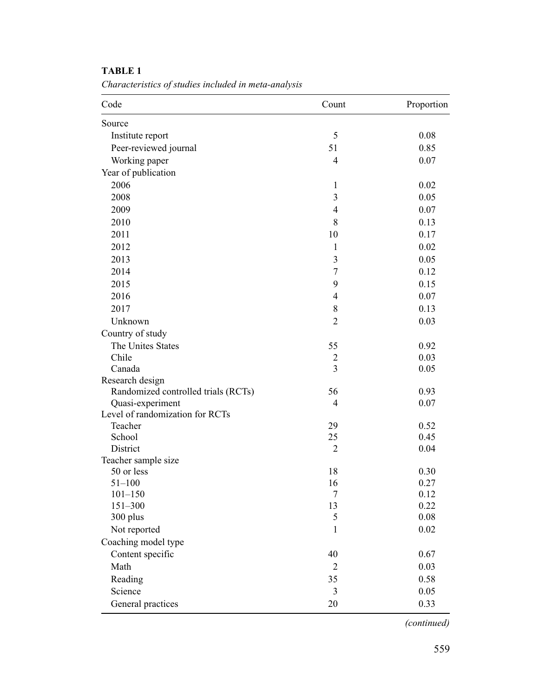| Code                                | Count            | Proportion |
|-------------------------------------|------------------|------------|
| Source                              |                  |            |
| Institute report                    | 5                | 0.08       |
| Peer-reviewed journal               | 51               | 0.85       |
| Working paper                       | $\overline{4}$   | 0.07       |
| Year of publication                 |                  |            |
| 2006                                | 1                | 0.02       |
| 2008                                | $\mathfrak{Z}$   | 0.05       |
| 2009                                | $\overline{4}$   | 0.07       |
| 2010                                | 8                | 0.13       |
| 2011                                | 10               | 0.17       |
| 2012                                | 1                | 0.02       |
| 2013                                | $\mathfrak{Z}$   | 0.05       |
| 2014                                | $\overline{7}$   | 0.12       |
| 2015                                | 9                | 0.15       |
| 2016                                | $\overline{4}$   | 0.07       |
| 2017                                | 8                | 0.13       |
| Unknown                             | $\overline{2}$   | 0.03       |
| Country of study                    |                  |            |
| The Unites States                   | 55               | 0.92       |
| Chile                               | $\overline{2}$   | 0.03       |
| Canada                              | 3                | 0.05       |
| Research design                     |                  |            |
| Randomized controlled trials (RCTs) | 56               | 0.93       |
| Quasi-experiment                    | $\overline{4}$   | 0.07       |
| Level of randomization for RCTs     |                  |            |
| Teacher                             | 29               | 0.52       |
| School                              | 25               | 0.45       |
| District                            | $\overline{2}$   | 0.04       |
| Teacher sample size                 |                  |            |
| 50 or less                          | 18               | 0.30       |
| $51 - 100$                          | 16               | 0.27       |
| $101 - 150$                         | $\boldsymbol{7}$ | 0.12       |
| $151 - 300$                         | 13               | 0.22       |
| 300 plus                            | 5                | 0.08       |
| Not reported                        | 1                | 0.02       |
| Coaching model type                 |                  |            |
| Content specific                    | 40               | 0.67       |
| Math                                | $\overline{2}$   | 0.03       |
| Reading                             | 35               | 0.58       |
| Science                             | 3                | 0.05       |
| General practices                   | 20               | 0.33       |

# **TABLE 1**

*Characteristics of studies included in meta-analysis*

 *(continued)*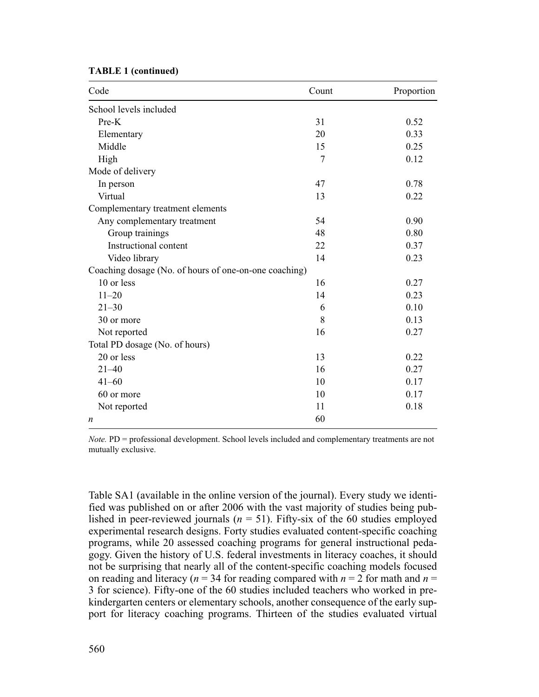| <b>TABLE 1 (continued)</b> |  |  |
|----------------------------|--|--|
|----------------------------|--|--|

| Code                                                  | Count | Proportion |
|-------------------------------------------------------|-------|------------|
| School levels included                                |       |            |
| Pre-K                                                 | 31    | 0.52       |
| Elementary                                            | 20    | 0.33       |
| Middle                                                | 15    | 0.25       |
| High                                                  | 7     | 0.12       |
| Mode of delivery                                      |       |            |
| In person                                             | 47    | 0.78       |
| Virtual                                               | 13    | 0.22       |
| Complementary treatment elements                      |       |            |
| Any complementary treatment                           | 54    | 0.90       |
| Group trainings                                       | 48    | 0.80       |
| Instructional content                                 | 22    | 0.37       |
| Video library                                         | 14    | 0.23       |
| Coaching dosage (No. of hours of one-on-one coaching) |       |            |
| 10 or less                                            | 16    | 0.27       |
| $11 - 20$                                             | 14    | 0.23       |
| $21 - 30$                                             | 6     | 0.10       |
| 30 or more                                            | 8     | 0.13       |
| Not reported                                          | 16    | 0.27       |
| Total PD dosage (No. of hours)                        |       |            |
| 20 or less                                            | 13    | 0.22       |
| $21 - 40$                                             | 16    | 0.27       |
| $41 - 60$                                             | 10    | 0.17       |
| 60 or more                                            | 10    | 0.17       |
| Not reported                                          | 11    | 0.18       |
| n                                                     | 60    |            |

*Note.* PD = professional development. School levels included and complementary treatments are not mutually exclusive.

Table SA1 (available in the online version of the journal). Every study we identified was published on or after 2006 with the vast majority of studies being published in peer-reviewed journals  $(n = 51)$ . Fifty-six of the 60 studies employed experimental research designs. Forty studies evaluated content-specific coaching programs, while 20 assessed coaching programs for general instructional pedagogy. Given the history of U.S. federal investments in literacy coaches, it should not be surprising that nearly all of the content-specific coaching models focused on reading and literacy ( $n = 34$  for reading compared with  $n = 2$  for math and  $n =$ 3 for science). Fifty-one of the 60 studies included teachers who worked in prekindergarten centers or elementary schools, another consequence of the early support for literacy coaching programs. Thirteen of the studies evaluated virtual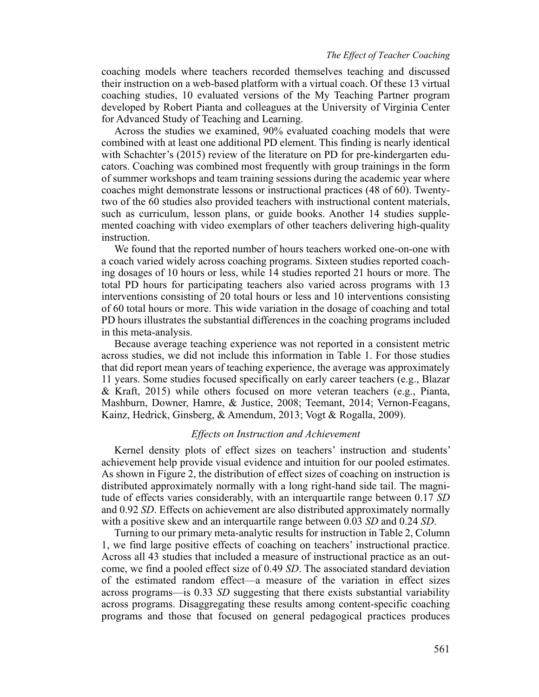coaching models where teachers recorded themselves teaching and discussed their instruction on a web-based platform with a virtual coach. Of these 13 virtual coaching studies, 10 evaluated versions of the My Teaching Partner program developed by Robert Pianta and colleagues at the University of Virginia Center for Advanced Study of Teaching and Learning.

Across the studies we examined, 90% evaluated coaching models that were combined with at least one additional PD element. This finding is nearly identical with Schachter's (2015) review of the literature on PD for pre-kindergarten educators. Coaching was combined most frequently with group trainings in the form of summer workshops and team training sessions during the academic year where coaches might demonstrate lessons or instructional practices (48 of 60). Twentytwo of the 60 studies also provided teachers with instructional content materials, such as curriculum, lesson plans, or guide books. Another 14 studies supplemented coaching with video exemplars of other teachers delivering high-quality instruction.

We found that the reported number of hours teachers worked one-on-one with a coach varied widely across coaching programs. Sixteen studies reported coaching dosages of 10 hours or less, while 14 studies reported 21 hours or more. The total PD hours for participating teachers also varied across programs with 13 interventions consisting of 20 total hours or less and 10 interventions consisting of 60 total hours or more. This wide variation in the dosage of coaching and total PD hours illustrates the substantial differences in the coaching programs included in this meta-analysis.

Because average teaching experience was not reported in a consistent metric across studies, we did not include this information in Table 1. For those studies that did report mean years of teaching experience, the average was approximately 11 years. Some studies focused specifically on early career teachers (e.g., Blazar & Kraft, 2015) while others focused on more veteran teachers (e.g., Pianta, Mashburn, Downer, Hamre, & Justice, 2008; Teemant, 2014; Vernon-Feagans, Kainz, Hedrick, Ginsberg, & Amendum, 2013; Vogt & Rogalla, 2009).

# *Effects on Instruction and Achievement*

Kernel density plots of effect sizes on teachers' instruction and students' achievement help provide visual evidence and intuition for our pooled estimates. As shown in Figure 2, the distribution of effect sizes of coaching on instruction is distributed approximately normally with a long right-hand side tail. The magnitude of effects varies considerably, with an interquartile range between 0.17 *SD* and 0.92 *SD*. Effects on achievement are also distributed approximately normally with a positive skew and an interquartile range between 0.03 *SD* and 0.24 *SD*.

Turning to our primary meta-analytic results for instruction in Table 2, Column 1, we find large positive effects of coaching on teachers' instructional practice. Across all 43 studies that included a measure of instructional practice as an outcome, we find a pooled effect size of 0.49 *SD*. The associated standard deviation of the estimated random effect—a measure of the variation in effect sizes across programs—is 0.33 *SD* suggesting that there exists substantial variability across programs. Disaggregating these results among content-specific coaching programs and those that focused on general pedagogical practices produces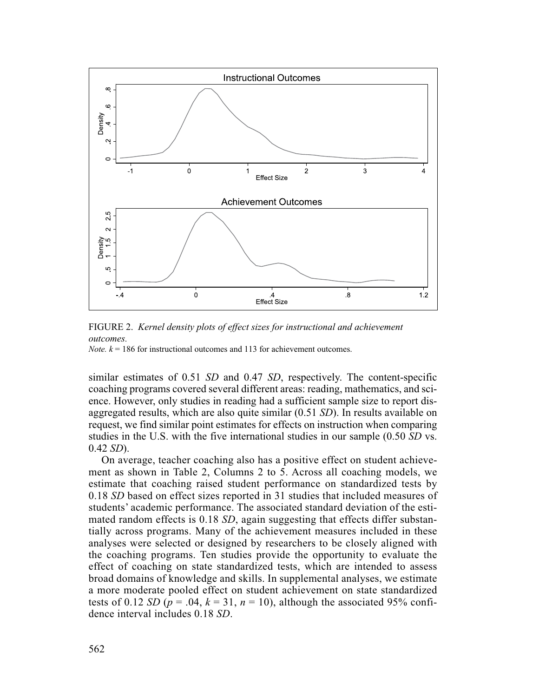

FIGURE 2. *Kernel density plots of effect sizes for instructional and achievement outcomes.*

*Note.*  $k = 186$  for instructional outcomes and 113 for achievement outcomes.

similar estimates of 0.51 *SD* and 0.47 *SD*, respectively. The content-specific coaching programs covered several different areas: reading, mathematics, and science. However, only studies in reading had a sufficient sample size to report disaggregated results, which are also quite similar (0.51 *SD*). In results available on request, we find similar point estimates for effects on instruction when comparing studies in the U.S. with the five international studies in our sample (0.50 *SD* vs. 0.42 *SD*).

On average, teacher coaching also has a positive effect on student achievement as shown in Table 2, Columns 2 to 5. Across all coaching models, we estimate that coaching raised student performance on standardized tests by 0.18 *SD* based on effect sizes reported in 31 studies that included measures of students' academic performance. The associated standard deviation of the estimated random effects is 0.18 *SD*, again suggesting that effects differ substantially across programs. Many of the achievement measures included in these analyses were selected or designed by researchers to be closely aligned with the coaching programs. Ten studies provide the opportunity to evaluate the effect of coaching on state standardized tests, which are intended to assess broad domains of knowledge and skills. In supplemental analyses, we estimate a more moderate pooled effect on student achievement on state standardized tests of 0.12 *SD* ( $p = .04$ ,  $k = 31$ ,  $n = 10$ ), although the associated 95% confidence interval includes 0.18 *SD*.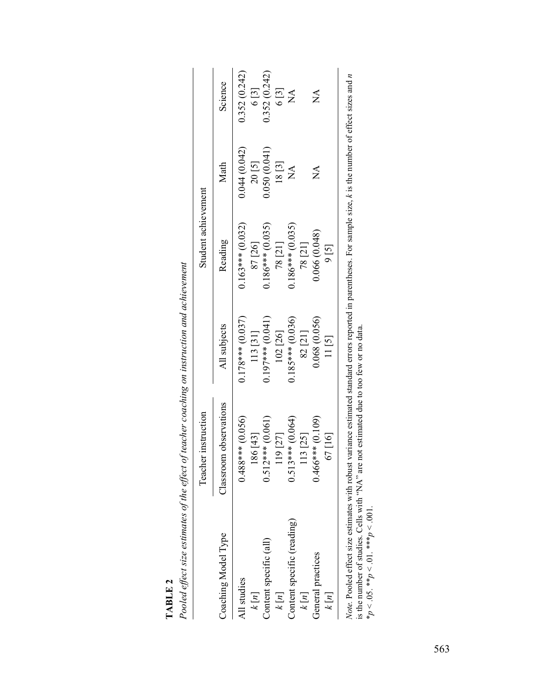|                            | Teacher instruction    |                    | Student achievement |                  |                           |
|----------------------------|------------------------|--------------------|---------------------|------------------|---------------------------|
| Coaching Model Type        | Classroom observations | All subjects       | Reading             | Math             | Science                   |
| All studies                | $0.488***$ (0.056)     | $0.178***$ (0.037) | $0.163***$ (0.032)  | 0.044 (0.042)    | 0.352 (0.242)             |
| k[n]                       | 186 [43]               | 113 [31]           | 87 [26]             | 20 [5]           | 6[3]                      |
| Content specific (all)     | $0.512***$ (0.061)     | $0.197***$ (0.041) | $0.186***$ (0.035)  | 0.050(0.041)     | 0.352 (0.242)             |
| k[n]                       | 119 [27]               | 102 [26]           | 78 [21]             | 18[3]            |                           |
| Content specific (reading) | $0.513***$ (0.064)     | $0.185***$ (0.036) | $0.186***$ (0.035)  | $\sum_{i=1}^{n}$ | $6[3]$<br>NA              |
| k[n]                       | 113 [25]               | 82 [21]            | 78 [21]             |                  |                           |
| General practices          | $0.466***(0.109)$      | 0.068(0.056)       | 0.066(0.048)        | $\mathbb{A}$     | $\mathbb{X}^{\mathsf{A}}$ |
| k[n]                       | 67[16]                 | $11\left[5\right]$ | 9[5]                |                  |                           |

|          | Pooled effect size estimates of the effect of teacher coaching on instruction and achiever |
|----------|--------------------------------------------------------------------------------------------|
| TARI E 2 |                                                                                            |

*Note*. Pooled effect size estimates with robust variance estimated standard errors reported in parentheses. For sample size, *k* is the number of effect sizes and *n* is the number of studies. Cells with "NA" are not est *Note.* Pooled effect size estimates with robust variance estimated standard errors reported in parentheses. For sample size, *k* is the number of effect sizes and *n* is the number of studies. Cells with "NA" are not estimated due to too few or no data. \**p* < .05. \*\**p* < .01. \*\*\**p* < .001.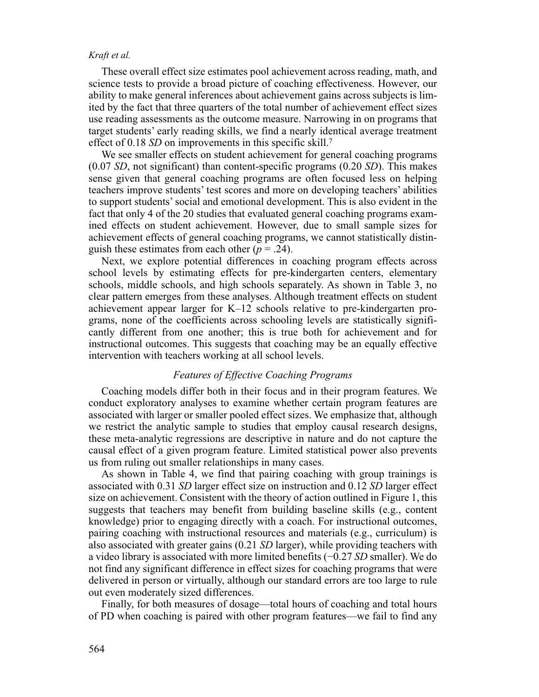These overall effect size estimates pool achievement across reading, math, and science tests to provide a broad picture of coaching effectiveness. However, our ability to make general inferences about achievement gains across subjects is limited by the fact that three quarters of the total number of achievement effect sizes use reading assessments as the outcome measure. Narrowing in on programs that target students' early reading skills, we find a nearly identical average treatment effect of 0.18 *SD* on improvements in this specific skill.<sup>7</sup>

We see smaller effects on student achievement for general coaching programs (0.07 *SD*, not significant) than content-specific programs (0.20 *SD*). This makes sense given that general coaching programs are often focused less on helping teachers improve students' test scores and more on developing teachers' abilities to support students' social and emotional development. This is also evident in the fact that only 4 of the 20 studies that evaluated general coaching programs examined effects on student achievement. However, due to small sample sizes for achievement effects of general coaching programs, we cannot statistically distinguish these estimates from each other  $(p = .24)$ .

Next, we explore potential differences in coaching program effects across school levels by estimating effects for pre-kindergarten centers, elementary schools, middle schools, and high schools separately. As shown in Table 3, no clear pattern emerges from these analyses. Although treatment effects on student achievement appear larger for K–12 schools relative to pre-kindergarten programs, none of the coefficients across schooling levels are statistically significantly different from one another; this is true both for achievement and for instructional outcomes. This suggests that coaching may be an equally effective intervention with teachers working at all school levels.

# *Features of Effective Coaching Programs*

Coaching models differ both in their focus and in their program features. We conduct exploratory analyses to examine whether certain program features are associated with larger or smaller pooled effect sizes. We emphasize that, although we restrict the analytic sample to studies that employ causal research designs, these meta-analytic regressions are descriptive in nature and do not capture the causal effect of a given program feature. Limited statistical power also prevents us from ruling out smaller relationships in many cases.

As shown in Table 4, we find that pairing coaching with group trainings is associated with 0.31 *SD* larger effect size on instruction and 0.12 *SD* larger effect size on achievement. Consistent with the theory of action outlined in Figure 1, this suggests that teachers may benefit from building baseline skills (e.g., content knowledge) prior to engaging directly with a coach. For instructional outcomes, pairing coaching with instructional resources and materials (e.g., curriculum) is also associated with greater gains (0.21 *SD* larger), while providing teachers with a video library is associated with more limited benefits (−0.27 *SD* smaller). We do not find any significant difference in effect sizes for coaching programs that were delivered in person or virtually, although our standard errors are too large to rule out even moderately sized differences.

Finally, for both measures of dosage—total hours of coaching and total hours of PD when coaching is paired with other program features—we fail to find any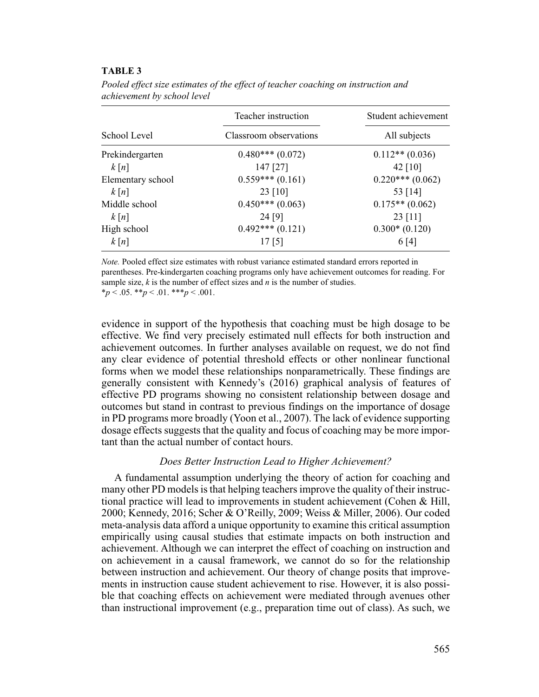# **TABLE 3**

|                   | Teacher instruction    | Student achievement |
|-------------------|------------------------|---------------------|
| School Level      | Classroom observations | All subjects        |
| Prekindergarten   | $0.480***(0.072)$      | $0.112**$ (0.036)   |
| k[n]              | 147 [27]               | 42 $[10]$           |
| Elementary school | $0.559***(0.161)$      | $0.220***(0.062)$   |
| k[n]              | 23 [10]                | 53 [14]             |
| Middle school     | $0.450***(0.063)$      | $0.175**$ (0.062)   |
| k[n]              | 24 [9]                 | $23$ [11]           |
| High school       | $0.492***(0.121)$      | $0.300*(0.120)$     |
| k[n]              | 17 <sub>[5]</sub>      | 6 [4]               |

*Pooled effect size estimates of the effect of teacher coaching on instruction and achievement by school level*

*Note.* Pooled effect size estimates with robust variance estimated standard errors reported in parentheses. Pre-kindergarten coaching programs only have achievement outcomes for reading. For sample size, *k* is the number of effect sizes and *n* is the number of studies.  $*_{p}$  < .05.  $*_{p}$  < .01.  $*_{p}$  < .001.

evidence in support of the hypothesis that coaching must be high dosage to be effective. We find very precisely estimated null effects for both instruction and achievement outcomes. In further analyses available on request, we do not find any clear evidence of potential threshold effects or other nonlinear functional forms when we model these relationships nonparametrically. These findings are generally consistent with Kennedy's (2016) graphical analysis of features of effective PD programs showing no consistent relationship between dosage and outcomes but stand in contrast to previous findings on the importance of dosage in PD programs more broadly (Yoon et al., 2007). The lack of evidence supporting dosage effects suggests that the quality and focus of coaching may be more important than the actual number of contact hours.

# *Does Better Instruction Lead to Higher Achievement?*

A fundamental assumption underlying the theory of action for coaching and many other PD models is that helping teachers improve the quality of their instructional practice will lead to improvements in student achievement (Cohen & Hill, 2000; Kennedy, 2016; Scher & O'Reilly, 2009; Weiss & Miller, 2006). Our coded meta-analysis data afford a unique opportunity to examine this critical assumption empirically using causal studies that estimate impacts on both instruction and achievement. Although we can interpret the effect of coaching on instruction and on achievement in a causal framework, we cannot do so for the relationship between instruction and achievement. Our theory of change posits that improvements in instruction cause student achievement to rise. However, it is also possible that coaching effects on achievement were mediated through avenues other than instructional improvement (e.g., preparation time out of class). As such, we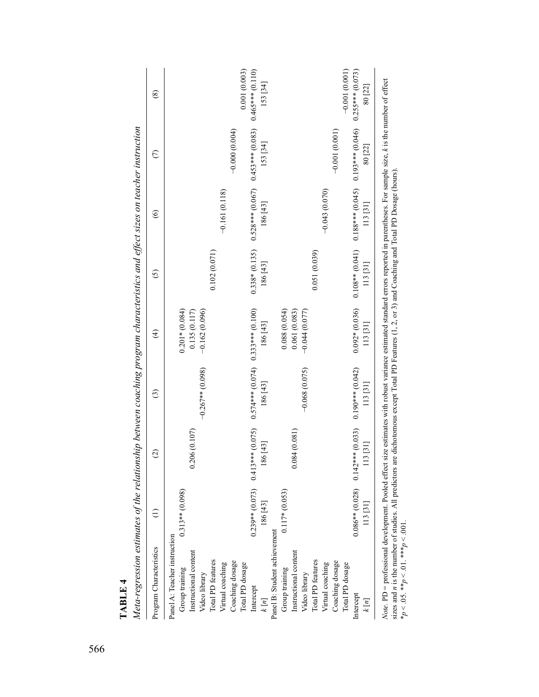| $0.108**$ (0.041) $0.188***$ (0.045) $0.193***$ (0.046)<br>$0.528***$ (0.067) $0.453***$ (0.083)<br>80 [22]<br>$-0.043(0.070)$<br>$-0.161(0.118)$<br>186 [43]<br>113 [31]<br>$0.338*(0.135)$<br>0.102(0.071)<br>0.051(0.039)<br>186 [43]<br>113 [31]<br>$0.092*(0.036)$<br>$0.201*(0.084)$<br>$0.574***$ (0.074) $0.333***$ (0.100)<br>0.088(0.054)<br>$-0.162(0.096)$<br>0.135(0.117)<br>0.061(0.083)<br>$-0.044(0.077)$<br>113 [31]<br>186 [43]<br>$0.190***$ (0.042)<br>$-0.267**$ (0.098)<br>$-0.068(0.075)$<br>186 [43]<br>113 [31]<br>$0.239**$ (0.073) 0.413*** (0.075)<br>$0.086**$ (0.028) $0.142***$ (0.033)<br>0.206(0.107)<br>0.084(0.081)<br>[43]<br>13 [31]<br>$0.313**$ (0.098)<br>$0.117*(0.053)$<br>113 [31]<br>$186\left[43\right]$<br>Panel B: Student achievement<br>Panel A: Teacher instruction<br>Instructional content<br>Instructional content<br>Total PD features<br>Coaching dosage<br>Total PD features<br>Coaching dosage<br>Virtual coaching<br>Virtual coaching<br>Total PD dosage<br>Total PD dosage<br>Group training<br>Group training<br>Video library<br>Video library<br>Intercept<br>Intercept<br>$\frac{k}{n}$<br>$\frac{k}{n}$ | Program Characteristics | $\widehat{c}$ | $\widehat{\mathbb{C}}$ | $\widehat{\mathfrak{t}}$ | $\tilde{\Omega}$ | $\widehat{\circ}$ | $\in$           | ⊗                  |
|-------------------------------------------------------------------------------------------------------------------------------------------------------------------------------------------------------------------------------------------------------------------------------------------------------------------------------------------------------------------------------------------------------------------------------------------------------------------------------------------------------------------------------------------------------------------------------------------------------------------------------------------------------------------------------------------------------------------------------------------------------------------------------------------------------------------------------------------------------------------------------------------------------------------------------------------------------------------------------------------------------------------------------------------------------------------------------------------------------------------------------------------------------------------------|-------------------------|---------------|------------------------|--------------------------|------------------|-------------------|-----------------|--------------------|
|                                                                                                                                                                                                                                                                                                                                                                                                                                                                                                                                                                                                                                                                                                                                                                                                                                                                                                                                                                                                                                                                                                                                                                         |                         |               |                        |                          |                  |                   |                 |                    |
|                                                                                                                                                                                                                                                                                                                                                                                                                                                                                                                                                                                                                                                                                                                                                                                                                                                                                                                                                                                                                                                                                                                                                                         |                         |               |                        |                          |                  |                   |                 |                    |
|                                                                                                                                                                                                                                                                                                                                                                                                                                                                                                                                                                                                                                                                                                                                                                                                                                                                                                                                                                                                                                                                                                                                                                         |                         |               |                        |                          |                  |                   |                 |                    |
|                                                                                                                                                                                                                                                                                                                                                                                                                                                                                                                                                                                                                                                                                                                                                                                                                                                                                                                                                                                                                                                                                                                                                                         |                         |               |                        |                          |                  |                   |                 |                    |
|                                                                                                                                                                                                                                                                                                                                                                                                                                                                                                                                                                                                                                                                                                                                                                                                                                                                                                                                                                                                                                                                                                                                                                         |                         |               |                        |                          |                  |                   |                 |                    |
|                                                                                                                                                                                                                                                                                                                                                                                                                                                                                                                                                                                                                                                                                                                                                                                                                                                                                                                                                                                                                                                                                                                                                                         |                         |               |                        |                          |                  |                   |                 |                    |
|                                                                                                                                                                                                                                                                                                                                                                                                                                                                                                                                                                                                                                                                                                                                                                                                                                                                                                                                                                                                                                                                                                                                                                         |                         |               |                        |                          |                  |                   | $-0.000(0.004)$ |                    |
|                                                                                                                                                                                                                                                                                                                                                                                                                                                                                                                                                                                                                                                                                                                                                                                                                                                                                                                                                                                                                                                                                                                                                                         |                         |               |                        |                          |                  |                   |                 | 0.001(0.003)       |
|                                                                                                                                                                                                                                                                                                                                                                                                                                                                                                                                                                                                                                                                                                                                                                                                                                                                                                                                                                                                                                                                                                                                                                         |                         |               |                        |                          |                  |                   |                 | $0.465***$ (0.110) |
|                                                                                                                                                                                                                                                                                                                                                                                                                                                                                                                                                                                                                                                                                                                                                                                                                                                                                                                                                                                                                                                                                                                                                                         |                         |               |                        |                          |                  |                   | 153 [34]        | 153 [34]           |
|                                                                                                                                                                                                                                                                                                                                                                                                                                                                                                                                                                                                                                                                                                                                                                                                                                                                                                                                                                                                                                                                                                                                                                         |                         |               |                        |                          |                  |                   |                 |                    |
|                                                                                                                                                                                                                                                                                                                                                                                                                                                                                                                                                                                                                                                                                                                                                                                                                                                                                                                                                                                                                                                                                                                                                                         |                         |               |                        |                          |                  |                   |                 |                    |
|                                                                                                                                                                                                                                                                                                                                                                                                                                                                                                                                                                                                                                                                                                                                                                                                                                                                                                                                                                                                                                                                                                                                                                         |                         |               |                        |                          |                  |                   |                 |                    |
|                                                                                                                                                                                                                                                                                                                                                                                                                                                                                                                                                                                                                                                                                                                                                                                                                                                                                                                                                                                                                                                                                                                                                                         |                         |               |                        |                          |                  |                   |                 |                    |
|                                                                                                                                                                                                                                                                                                                                                                                                                                                                                                                                                                                                                                                                                                                                                                                                                                                                                                                                                                                                                                                                                                                                                                         |                         |               |                        |                          |                  |                   |                 |                    |
|                                                                                                                                                                                                                                                                                                                                                                                                                                                                                                                                                                                                                                                                                                                                                                                                                                                                                                                                                                                                                                                                                                                                                                         |                         |               |                        |                          |                  |                   |                 |                    |
|                                                                                                                                                                                                                                                                                                                                                                                                                                                                                                                                                                                                                                                                                                                                                                                                                                                                                                                                                                                                                                                                                                                                                                         |                         |               |                        |                          |                  |                   | $-0.001(0.001)$ |                    |
|                                                                                                                                                                                                                                                                                                                                                                                                                                                                                                                                                                                                                                                                                                                                                                                                                                                                                                                                                                                                                                                                                                                                                                         |                         |               |                        |                          |                  |                   |                 | $-0.001(0.001)$    |
|                                                                                                                                                                                                                                                                                                                                                                                                                                                                                                                                                                                                                                                                                                                                                                                                                                                                                                                                                                                                                                                                                                                                                                         |                         |               |                        |                          |                  |                   |                 | $0.255***$ (0.073) |
|                                                                                                                                                                                                                                                                                                                                                                                                                                                                                                                                                                                                                                                                                                                                                                                                                                                                                                                                                                                                                                                                                                                                                                         |                         |               |                        |                          |                  |                   |                 | 80 [22]            |

Meta-regression estimates of the relationship between coaching program characteristics and effect sizes on teacher instruction *Meta-regression estimates of the relationship between coaching program characteristics and effect sizes on teacher instruction* *Note.* PD = professional development. Pooled effect size estimates with robust variance estimated standard errors reported in parentheses. For sample size, *k* is the number of effect ໌ *Note*. 1 D – processomal development, 1 corde entervals commates with robust variance estimated standard entors reported in paramoles sizes and *n* is the number of studies. All predictors are dichotomous except Total PD sizes and *n* is the number of studies. All predictors are dichotomous except Total PD Features (1, 2, or 3) and Coaching and Total PD Dosage (hours). \**p* < .05. \*\**p* < .01. \*\*\**p* < .001.Note.

**TABLE 4**

TABLE 4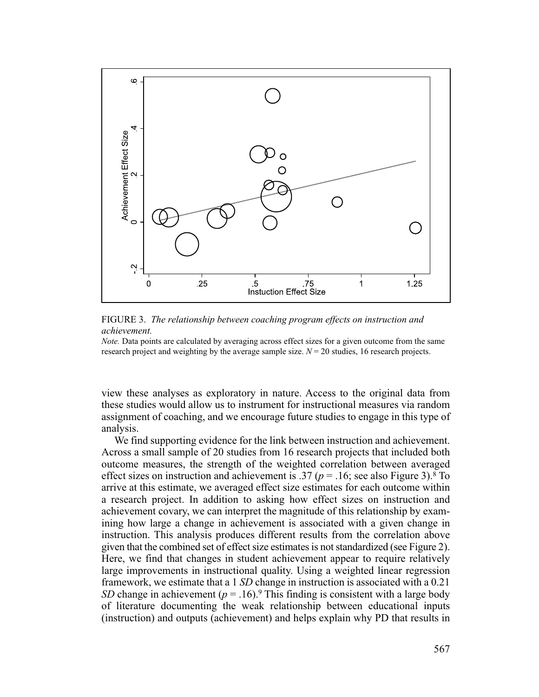



*Note.* Data points are calculated by averaging across effect sizes for a given outcome from the same research project and weighting by the average sample size.  $N = 20$  studies, 16 research projects.

view these analyses as exploratory in nature. Access to the original data from these studies would allow us to instrument for instructional measures via random assignment of coaching, and we encourage future studies to engage in this type of analysis.

We find supporting evidence for the link between instruction and achievement. Across a small sample of 20 studies from 16 research projects that included both outcome measures, the strength of the weighted correlation between averaged effect sizes on instruction and achievement is .37 ( $p = .16$ ; see also Figure 3).<sup>8</sup> To arrive at this estimate, we averaged effect size estimates for each outcome within a research project. In addition to asking how effect sizes on instruction and achievement covary, we can interpret the magnitude of this relationship by examining how large a change in achievement is associated with a given change in instruction. This analysis produces different results from the correlation above given that the combined set of effect size estimates is not standardized (see Figure 2). Here, we find that changes in student achievement appear to require relatively large improvements in instructional quality. Using a weighted linear regression framework, we estimate that a 1 *SD* change in instruction is associated with a 0.21 *SD* change in achievement ( $p = .16$ ).<sup>9</sup> This finding is consistent with a large body of literature documenting the weak relationship between educational inputs (instruction) and outputs (achievement) and helps explain why PD that results in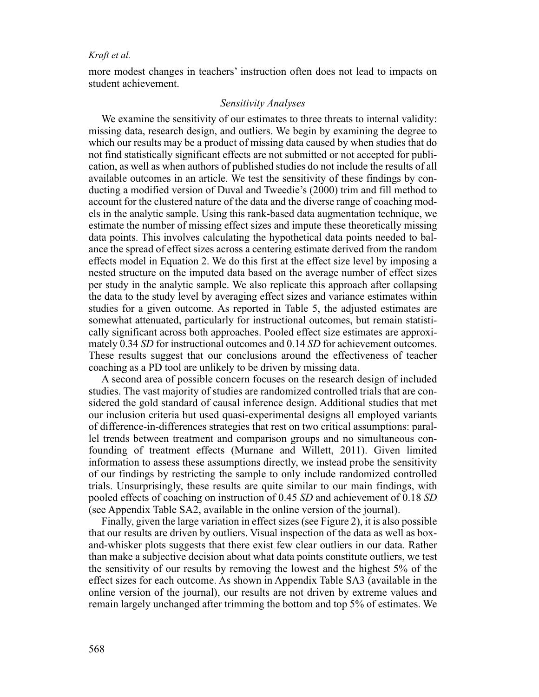more modest changes in teachers' instruction often does not lead to impacts on student achievement.

# *Sensitivity Analyses*

We examine the sensitivity of our estimates to three threats to internal validity: missing data, research design, and outliers. We begin by examining the degree to which our results may be a product of missing data caused by when studies that do not find statistically significant effects are not submitted or not accepted for publication, as well as when authors of published studies do not include the results of all available outcomes in an article. We test the sensitivity of these findings by conducting a modified version of Duval and Tweedie's (2000) trim and fill method to account for the clustered nature of the data and the diverse range of coaching models in the analytic sample. Using this rank-based data augmentation technique, we estimate the number of missing effect sizes and impute these theoretically missing data points. This involves calculating the hypothetical data points needed to balance the spread of effect sizes across a centering estimate derived from the random effects model in Equation 2. We do this first at the effect size level by imposing a nested structure on the imputed data based on the average number of effect sizes per study in the analytic sample. We also replicate this approach after collapsing the data to the study level by averaging effect sizes and variance estimates within studies for a given outcome. As reported in Table 5, the adjusted estimates are somewhat attenuated, particularly for instructional outcomes, but remain statistically significant across both approaches. Pooled effect size estimates are approximately 0.34 *SD* for instructional outcomes and 0.14 *SD* for achievement outcomes. These results suggest that our conclusions around the effectiveness of teacher coaching as a PD tool are unlikely to be driven by missing data.

A second area of possible concern focuses on the research design of included studies. The vast majority of studies are randomized controlled trials that are considered the gold standard of causal inference design. Additional studies that met our inclusion criteria but used quasi-experimental designs all employed variants of difference-in-differences strategies that rest on two critical assumptions: parallel trends between treatment and comparison groups and no simultaneous confounding of treatment effects (Murnane and Willett, 2011). Given limited information to assess these assumptions directly, we instead probe the sensitivity of our findings by restricting the sample to only include randomized controlled trials. Unsurprisingly, these results are quite similar to our main findings, with pooled effects of coaching on instruction of 0.45 *SD* and achievement of 0.18 *SD* (see Appendix Table SA2, available in the online version of the journal).

Finally, given the large variation in effect sizes (see Figure 2), it is also possible that our results are driven by outliers. Visual inspection of the data as well as boxand-whisker plots suggests that there exist few clear outliers in our data. Rather than make a subjective decision about what data points constitute outliers, we test the sensitivity of our results by removing the lowest and the highest 5% of the effect sizes for each outcome. As shown in Appendix Table SA3 (available in the online version of the journal), our results are not driven by extreme values and remain largely unchanged after trimming the bottom and top 5% of estimates. We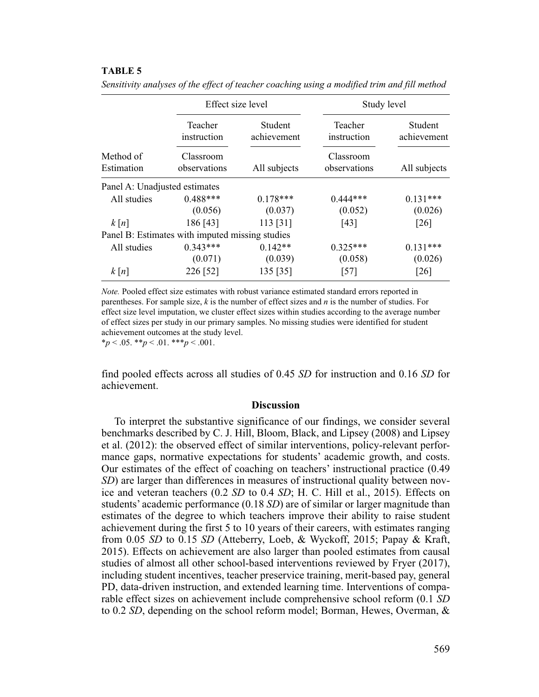### **TABLE 5**

|                                                 | Effect size level         |                        | Study level               |                        |
|-------------------------------------------------|---------------------------|------------------------|---------------------------|------------------------|
|                                                 | Teacher<br>instruction    | Student<br>achievement | Teacher<br>instruction    | Student<br>achievement |
| Method of<br>Estimation                         | Classroom<br>observations | All subjects           | Classroom<br>observations | All subjects           |
| Panel A: Unadjusted estimates                   |                           |                        |                           |                        |
| All studies                                     | $0.488***$                | $0.178***$             | $0.444***$                | $0.131***$             |
|                                                 | (0.056)                   | (0.037)                | (0.052)                   | (0.026)                |
| k[n]                                            | 186 [43]                  | 113 [31]               | [43]                      | $\lceil 26 \rceil$     |
| Panel B: Estimates with imputed missing studies |                           |                        |                           |                        |
| All studies                                     | $0.343***$                | $0.142**$              | $0.325***$                | $0.131***$             |
|                                                 | (0.071)                   | (0.039)                | (0.058)                   | (0.026)                |
| k[n]                                            | 226 [52]                  | 135 [35]               | $[57]$                    | $\lceil 26 \rceil$     |

*Sensitivity analyses of the effect of teacher coaching using a modified trim and fill method*

*Note.* Pooled effect size estimates with robust variance estimated standard errors reported in parentheses. For sample size, *k* is the number of effect sizes and *n* is the number of studies. For effect size level imputation, we cluster effect sizes within studies according to the average number of effect sizes per study in our primary samples. No missing studies were identified for student achievement outcomes at the study level.

 $**p* < .05.$   $**p* < .01.$   $**p* < .001.$ 

find pooled effects across all studies of 0.45 *SD* for instruction and 0.16 *SD* for achievement.

#### **Discussion**

To interpret the substantive significance of our findings, we consider several benchmarks described by C. J. Hill, Bloom, Black, and Lipsey (2008) and Lipsey et al. (2012): the observed effect of similar interventions, policy-relevant performance gaps, normative expectations for students' academic growth, and costs. Our estimates of the effect of coaching on teachers' instructional practice (0.49 *SD*) are larger than differences in measures of instructional quality between novice and veteran teachers (0.2 *SD* to 0.4 *SD*; H. C. Hill et al., 2015). Effects on students' academic performance (0.18 *SD*) are of similar or larger magnitude than estimates of the degree to which teachers improve their ability to raise student achievement during the first 5 to 10 years of their careers, with estimates ranging from 0.05 *SD* to 0.15 *SD* (Atteberry, Loeb, & Wyckoff, 2015; Papay & Kraft, 2015). Effects on achievement are also larger than pooled estimates from causal studies of almost all other school-based interventions reviewed by Fryer (2017), including student incentives, teacher preservice training, merit-based pay, general PD, data-driven instruction, and extended learning time. Interventions of comparable effect sizes on achievement include comprehensive school reform (0.1 *SD* to 0.2 *SD*, depending on the school reform model; Borman, Hewes, Overman, &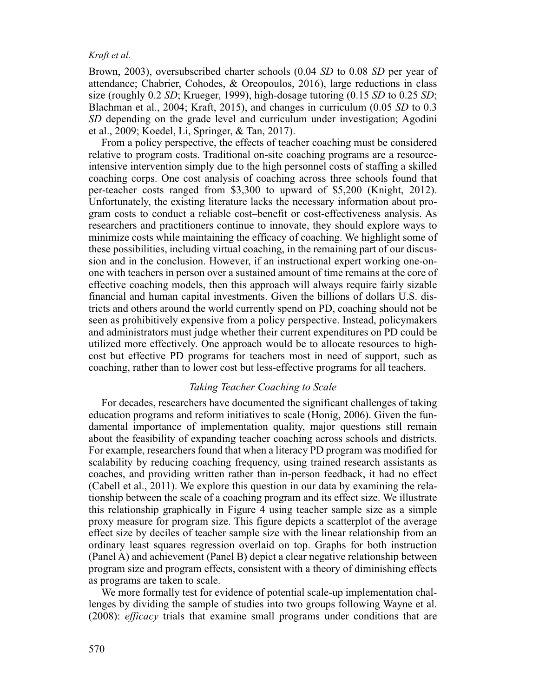Brown, 2003), oversubscribed charter schools (0.04 *SD* to 0.08 *SD* per year of attendance; Chabrier, Cohodes, & Oreopoulos, 2016), large reductions in class size (roughly 0.2 *SD*; Krueger, 1999), high-dosage tutoring (0.15 *SD* to 0.25 *SD*; Blachman et al., 2004; Kraft, 2015), and changes in curriculum (0.05 *SD* to 0.3 *SD* depending on the grade level and curriculum under investigation; Agodini et al., 2009; Koedel, Li, Springer, & Tan, 2017).

From a policy perspective, the effects of teacher coaching must be considered relative to program costs. Traditional on-site coaching programs are a resourceintensive intervention simply due to the high personnel costs of staffing a skilled coaching corps. One cost analysis of coaching across three schools found that per-teacher costs ranged from \$3,300 to upward of \$5,200 (Knight, 2012). Unfortunately, the existing literature lacks the necessary information about program costs to conduct a reliable cost–benefit or cost-effectiveness analysis. As researchers and practitioners continue to innovate, they should explore ways to minimize costs while maintaining the efficacy of coaching. We highlight some of these possibilities, including virtual coaching, in the remaining part of our discussion and in the conclusion. However, if an instructional expert working one-onone with teachers in person over a sustained amount of time remains at the core of effective coaching models, then this approach will always require fairly sizable financial and human capital investments. Given the billions of dollars U.S. districts and others around the world currently spend on PD, coaching should not be seen as prohibitively expensive from a policy perspective. Instead, policymakers and administrators must judge whether their current expenditures on PD could be utilized more effectively. One approach would be to allocate resources to highcost but effective PD programs for teachers most in need of support, such as coaching, rather than to lower cost but less-effective programs for all teachers.

# *Taking Teacher Coaching to Scale*

For decades, researchers have documented the significant challenges of taking education programs and reform initiatives to scale (Honig, 2006). Given the fundamental importance of implementation quality, major questions still remain about the feasibility of expanding teacher coaching across schools and districts. For example, researchers found that when a literacy PD program was modified for scalability by reducing coaching frequency, using trained research assistants as coaches, and providing written rather than in-person feedback, it had no effect (Cabell et al., 2011). We explore this question in our data by examining the relationship between the scale of a coaching program and its effect size. We illustrate this relationship graphically in Figure 4 using teacher sample size as a simple proxy measure for program size. This figure depicts a scatterplot of the average effect size by deciles of teacher sample size with the linear relationship from an ordinary least squares regression overlaid on top. Graphs for both instruction (Panel A) and achievement (Panel B) depict a clear negative relationship between program size and program effects, consistent with a theory of diminishing effects as programs are taken to scale.

We more formally test for evidence of potential scale-up implementation challenges by dividing the sample of studies into two groups following Wayne et al. (2008): *efficacy* trials that examine small programs under conditions that are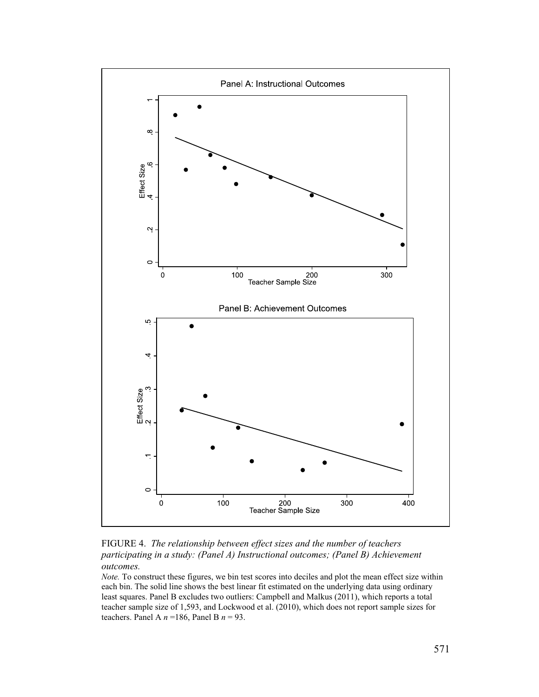

FIGURE 4. *The relationship between effect sizes and the number of teachers participating in a study: (Panel A) Instructional outcomes; (Panel B) Achievement outcomes.*

*Note.* To construct these figures, we bin test scores into deciles and plot the mean effect size within each bin. The solid line shows the best linear fit estimated on the underlying data using ordinary least squares. Panel B excludes two outliers: Campbell and Malkus (2011), which reports a total teacher sample size of 1,593, and Lockwood et al. (2010), which does not report sample sizes for teachers. Panel A  $n = 186$ , Panel B  $n = 93$ .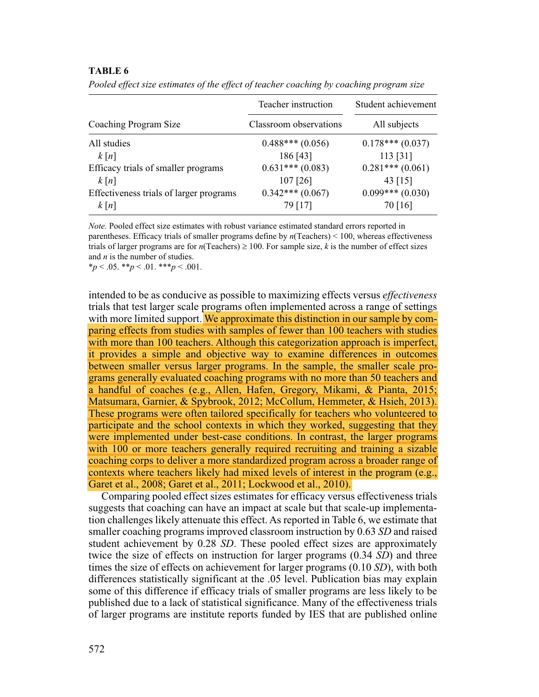### **TABLE 6**

|                                         | Teacher instruction    | Student achievement |
|-----------------------------------------|------------------------|---------------------|
| Coaching Program Size                   | Classroom observations | All subjects        |
| All studies                             | $0.488***(0.056)$      | $0.178***(0.037)$   |
| k[n]                                    | 186 [43]               | 113 [31]            |
| Efficacy trials of smaller programs     | $0.631***(0.083)$      | $0.281***(0.061)$   |
| k[n]                                    | $107$ [26]             | 43 $[15]$           |
| Effectiveness trials of larger programs | $0.342***(0.067)$      | $0.099***(0.030)$   |
| k[n]                                    | 79 [17]                | 70 [16]             |

*Pooled effect size estimates of the effect of teacher coaching by coaching program size*

*Note.* Pooled effect size estimates with robust variance estimated standard errors reported in parentheses. Efficacy trials of smaller programs define by *n*(Teachers) < 100, whereas effectiveness trials of larger programs are for  $n$ (Teachers)  $\geq 100$ . For sample size, *k* is the number of effect sizes and *n* is the number of studies.

 $*_{p}$  < .05.  $*_{p}$  < .01.  $*_{p}$  < .001.

intended to be as conducive as possible to maximizing effects versus *effectiveness* trials that test larger scale programs often implemented across a range of settings with more limited support. We approximate this distinction in our sample by comparing effects from studies with samples of fewer than 100 teachers with studies with more than 100 teachers. Although this categorization approach is imperfect, it provides a simple and objective way to examine differences in outcomes between smaller versus larger programs. In the sample, the smaller scale programs generally evaluated coaching programs with no more than 50 teachers and a handful of coaches (e.g., Allen, Hafen, Gregory, Mikami, & Pianta, 2015; Matsumara, Garnier, & Spybrook, 2012; McCollum, Hemmeter, & Hsieh, 2013). These programs were often tailored specifically for teachers who volunteered to participate and the school contexts in which they worked, suggesting that they were implemented under best-case conditions. In contrast, the larger programs with 100 or more teachers generally required recruiting and training a sizable coaching corps to deliver a more standardized program across a broader range of contexts where teachers likely had mixed levels of interest in the program (e.g., Garet et al., 2008; Garet et al., 2011; Lockwood et al., 2010).

Comparing pooled effect sizes estimates for efficacy versus effectiveness trials suggests that coaching can have an impact at scale but that scale-up implementation challenges likely attenuate this effect. As reported in Table 6, we estimate that smaller coaching programs improved classroom instruction by 0.63 *SD* and raised student achievement by 0.28 *SD*. These pooled effect sizes are approximately twice the size of effects on instruction for larger programs (0.34 *SD*) and three times the size of effects on achievement for larger programs (0.10 *SD*), with both differences statistically significant at the .05 level. Publication bias may explain some of this difference if efficacy trials of smaller programs are less likely to be published due to a lack of statistical significance. Many of the effectiveness trials of larger programs are institute reports funded by IES that are published online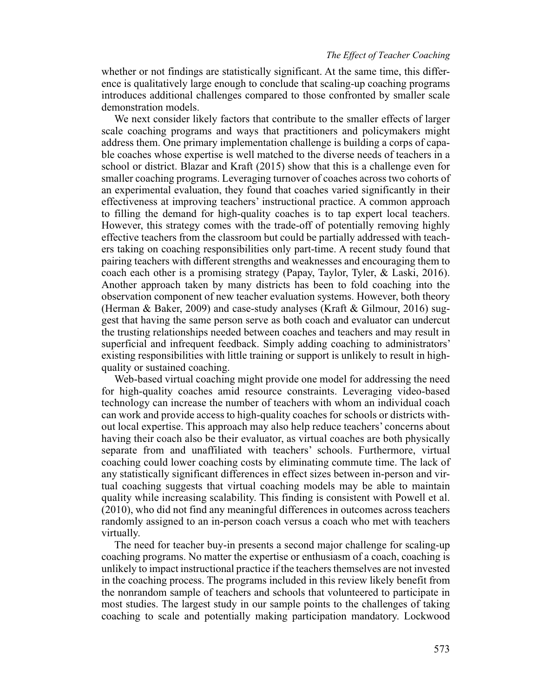whether or not findings are statistically significant. At the same time, this difference is qualitatively large enough to conclude that scaling-up coaching programs introduces additional challenges compared to those confronted by smaller scale demonstration models.

We next consider likely factors that contribute to the smaller effects of larger scale coaching programs and ways that practitioners and policymakers might address them. One primary implementation challenge is building a corps of capable coaches whose expertise is well matched to the diverse needs of teachers in a school or district. Blazar and Kraft (2015) show that this is a challenge even for smaller coaching programs. Leveraging turnover of coaches across two cohorts of an experimental evaluation, they found that coaches varied significantly in their effectiveness at improving teachers' instructional practice. A common approach to filling the demand for high-quality coaches is to tap expert local teachers. However, this strategy comes with the trade-off of potentially removing highly effective teachers from the classroom but could be partially addressed with teachers taking on coaching responsibilities only part-time. A recent study found that pairing teachers with different strengths and weaknesses and encouraging them to coach each other is a promising strategy (Papay, Taylor, Tyler, & Laski, 2016). Another approach taken by many districts has been to fold coaching into the observation component of new teacher evaluation systems. However, both theory (Herman & Baker, 2009) and case-study analyses (Kraft & Gilmour, 2016) suggest that having the same person serve as both coach and evaluator can undercut the trusting relationships needed between coaches and teachers and may result in superficial and infrequent feedback. Simply adding coaching to administrators' existing responsibilities with little training or support is unlikely to result in highquality or sustained coaching.

Web-based virtual coaching might provide one model for addressing the need for high-quality coaches amid resource constraints. Leveraging video-based technology can increase the number of teachers with whom an individual coach can work and provide access to high-quality coaches for schools or districts without local expertise. This approach may also help reduce teachers' concerns about having their coach also be their evaluator, as virtual coaches are both physically separate from and unaffiliated with teachers' schools. Furthermore, virtual coaching could lower coaching costs by eliminating commute time. The lack of any statistically significant differences in effect sizes between in-person and virtual coaching suggests that virtual coaching models may be able to maintain quality while increasing scalability. This finding is consistent with Powell et al. (2010), who did not find any meaningful differences in outcomes across teachers randomly assigned to an in-person coach versus a coach who met with teachers virtually.

The need for teacher buy-in presents a second major challenge for scaling-up coaching programs. No matter the expertise or enthusiasm of a coach, coaching is unlikely to impact instructional practice if the teachers themselves are not invested in the coaching process. The programs included in this review likely benefit from the nonrandom sample of teachers and schools that volunteered to participate in most studies. The largest study in our sample points to the challenges of taking coaching to scale and potentially making participation mandatory. Lockwood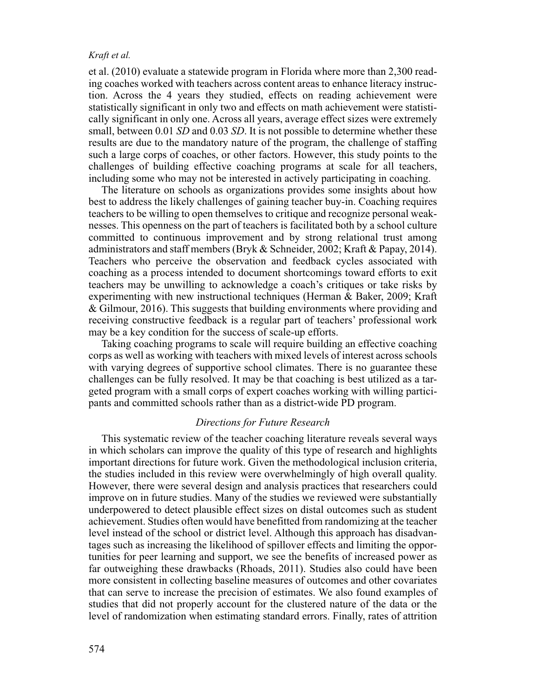et al. (2010) evaluate a statewide program in Florida where more than 2,300 reading coaches worked with teachers across content areas to enhance literacy instruction. Across the 4 years they studied, effects on reading achievement were statistically significant in only two and effects on math achievement were statistically significant in only one. Across all years, average effect sizes were extremely small, between 0.01 *SD* and 0.03 *SD*. It is not possible to determine whether these results are due to the mandatory nature of the program, the challenge of staffing such a large corps of coaches, or other factors. However, this study points to the challenges of building effective coaching programs at scale for all teachers, including some who may not be interested in actively participating in coaching.

The literature on schools as organizations provides some insights about how best to address the likely challenges of gaining teacher buy-in. Coaching requires teachers to be willing to open themselves to critique and recognize personal weaknesses. This openness on the part of teachers is facilitated both by a school culture committed to continuous improvement and by strong relational trust among administrators and staff members (Bryk & Schneider, 2002; Kraft & Papay, 2014). Teachers who perceive the observation and feedback cycles associated with coaching as a process intended to document shortcomings toward efforts to exit teachers may be unwilling to acknowledge a coach's critiques or take risks by experimenting with new instructional techniques (Herman & Baker, 2009; Kraft & Gilmour, 2016). This suggests that building environments where providing and receiving constructive feedback is a regular part of teachers' professional work may be a key condition for the success of scale-up efforts.

Taking coaching programs to scale will require building an effective coaching corps as well as working with teachers with mixed levels of interest across schools with varying degrees of supportive school climates. There is no guarantee these challenges can be fully resolved. It may be that coaching is best utilized as a targeted program with a small corps of expert coaches working with willing participants and committed schools rather than as a district-wide PD program.

# *Directions for Future Research*

This systematic review of the teacher coaching literature reveals several ways in which scholars can improve the quality of this type of research and highlights important directions for future work. Given the methodological inclusion criteria, the studies included in this review were overwhelmingly of high overall quality. However, there were several design and analysis practices that researchers could improve on in future studies. Many of the studies we reviewed were substantially underpowered to detect plausible effect sizes on distal outcomes such as student achievement. Studies often would have benefitted from randomizing at the teacher level instead of the school or district level. Although this approach has disadvantages such as increasing the likelihood of spillover effects and limiting the opportunities for peer learning and support, we see the benefits of increased power as far outweighing these drawbacks (Rhoads, 2011). Studies also could have been more consistent in collecting baseline measures of outcomes and other covariates that can serve to increase the precision of estimates. We also found examples of studies that did not properly account for the clustered nature of the data or the level of randomization when estimating standard errors. Finally, rates of attrition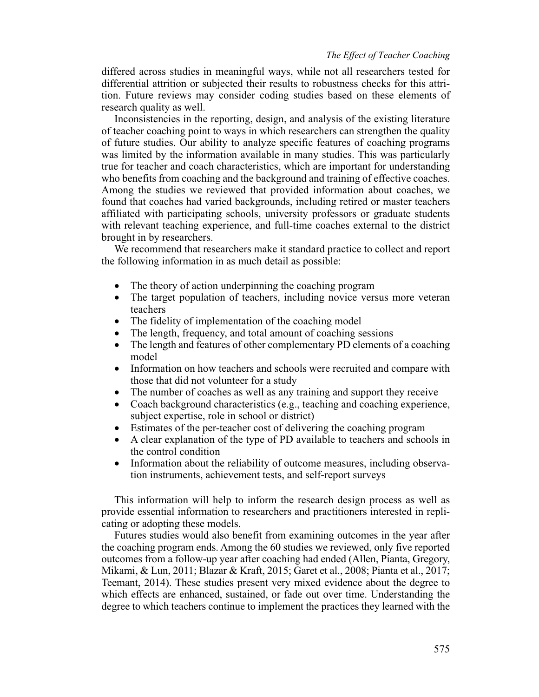differed across studies in meaningful ways, while not all researchers tested for differential attrition or subjected their results to robustness checks for this attrition. Future reviews may consider coding studies based on these elements of research quality as well.

Inconsistencies in the reporting, design, and analysis of the existing literature of teacher coaching point to ways in which researchers can strengthen the quality of future studies. Our ability to analyze specific features of coaching programs was limited by the information available in many studies. This was particularly true for teacher and coach characteristics, which are important for understanding who benefits from coaching and the background and training of effective coaches. Among the studies we reviewed that provided information about coaches, we found that coaches had varied backgrounds, including retired or master teachers affiliated with participating schools, university professors or graduate students with relevant teaching experience, and full-time coaches external to the district brought in by researchers.

We recommend that researchers make it standard practice to collect and report the following information in as much detail as possible:

- The theory of action underpinning the coaching program
- The target population of teachers, including novice versus more veteran teachers
- The fidelity of implementation of the coaching model
- The length, frequency, and total amount of coaching sessions
- The length and features of other complementary PD elements of a coaching model
- Information on how teachers and schools were recruited and compare with those that did not volunteer for a study
- The number of coaches as well as any training and support they receive
- Coach background characteristics (e.g., teaching and coaching experience, subject expertise, role in school or district)
- Estimates of the per-teacher cost of delivering the coaching program
- A clear explanation of the type of PD available to teachers and schools in the control condition
- Information about the reliability of outcome measures, including observation instruments, achievement tests, and self-report surveys

This information will help to inform the research design process as well as provide essential information to researchers and practitioners interested in replicating or adopting these models.

Futures studies would also benefit from examining outcomes in the year after the coaching program ends. Among the 60 studies we reviewed, only five reported outcomes from a follow-up year after coaching had ended (Allen, Pianta, Gregory, Mikami, & Lun, 2011; Blazar & Kraft, 2015; Garet et al., 2008; Pianta et al., 2017; Teemant, 2014). These studies present very mixed evidence about the degree to which effects are enhanced, sustained, or fade out over time. Understanding the degree to which teachers continue to implement the practices they learned with the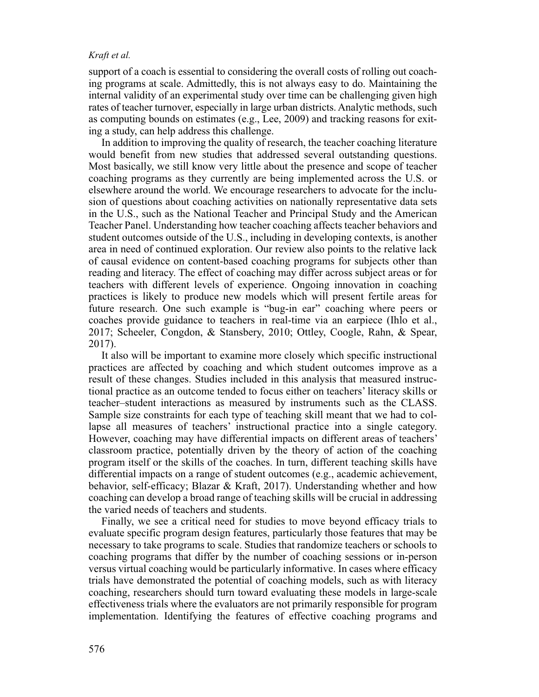support of a coach is essential to considering the overall costs of rolling out coaching programs at scale. Admittedly, this is not always easy to do. Maintaining the internal validity of an experimental study over time can be challenging given high rates of teacher turnover, especially in large urban districts. Analytic methods, such as computing bounds on estimates (e.g., Lee, 2009) and tracking reasons for exiting a study, can help address this challenge.

In addition to improving the quality of research, the teacher coaching literature would benefit from new studies that addressed several outstanding questions. Most basically, we still know very little about the presence and scope of teacher coaching programs as they currently are being implemented across the U.S. or elsewhere around the world. We encourage researchers to advocate for the inclusion of questions about coaching activities on nationally representative data sets in the U.S., such as the National Teacher and Principal Study and the American Teacher Panel. Understanding how teacher coaching affects teacher behaviors and student outcomes outside of the U.S., including in developing contexts, is another area in need of continued exploration. Our review also points to the relative lack of causal evidence on content-based coaching programs for subjects other than reading and literacy. The effect of coaching may differ across subject areas or for teachers with different levels of experience. Ongoing innovation in coaching practices is likely to produce new models which will present fertile areas for future research. One such example is "bug-in ear" coaching where peers or coaches provide guidance to teachers in real-time via an earpiece (Ihlo et al., 2017; Scheeler, Congdon, & Stansbery, 2010; Ottley, Coogle, Rahn, & Spear, 2017).

It also will be important to examine more closely which specific instructional practices are affected by coaching and which student outcomes improve as a result of these changes. Studies included in this analysis that measured instructional practice as an outcome tended to focus either on teachers' literacy skills or teacher–student interactions as measured by instruments such as the CLASS. Sample size constraints for each type of teaching skill meant that we had to collapse all measures of teachers' instructional practice into a single category. However, coaching may have differential impacts on different areas of teachers' classroom practice, potentially driven by the theory of action of the coaching program itself or the skills of the coaches. In turn, different teaching skills have differential impacts on a range of student outcomes (e.g., academic achievement, behavior, self-efficacy; Blazar & Kraft, 2017). Understanding whether and how coaching can develop a broad range of teaching skills will be crucial in addressing the varied needs of teachers and students.

Finally, we see a critical need for studies to move beyond efficacy trials to evaluate specific program design features, particularly those features that may be necessary to take programs to scale. Studies that randomize teachers or schools to coaching programs that differ by the number of coaching sessions or in-person versus virtual coaching would be particularly informative. In cases where efficacy trials have demonstrated the potential of coaching models, such as with literacy coaching, researchers should turn toward evaluating these models in large-scale effectiveness trials where the evaluators are not primarily responsible for program implementation. Identifying the features of effective coaching programs and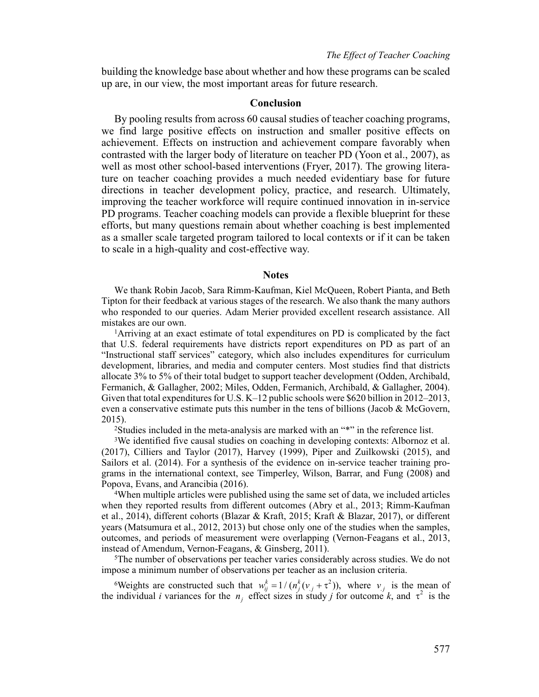building the knowledge base about whether and how these programs can be scaled up are, in our view, the most important areas for future research.

# **Conclusion**

By pooling results from across 60 causal studies of teacher coaching programs, we find large positive effects on instruction and smaller positive effects on achievement. Effects on instruction and achievement compare favorably when contrasted with the larger body of literature on teacher PD (Yoon et al., 2007), as well as most other school-based interventions (Fryer, 2017). The growing literature on teacher coaching provides a much needed evidentiary base for future directions in teacher development policy, practice, and research. Ultimately, improving the teacher workforce will require continued innovation in in-service PD programs. Teacher coaching models can provide a flexible blueprint for these efforts, but many questions remain about whether coaching is best implemented as a smaller scale targeted program tailored to local contexts or if it can be taken to scale in a high-quality and cost-effective way.

# **Notes**

We thank Robin Jacob, Sara Rimm-Kaufman, Kiel McQueen, Robert Pianta, and Beth Tipton for their feedback at various stages of the research. We also thank the many authors who responded to our queries. Adam Merier provided excellent research assistance. All mistakes are our own.

1Arriving at an exact estimate of total expenditures on PD is complicated by the fact that U.S. federal requirements have districts report expenditures on PD as part of an "Instructional staff services" category, which also includes expenditures for curriculum development, libraries, and media and computer centers. Most studies find that districts allocate 3% to 5% of their total budget to support teacher development (Odden, Archibald, Fermanich, & Gallagher, 2002; Miles, Odden, Fermanich, Archibald, & Gallagher, 2004). Given that total expenditures for U.S. K–12 public schools were \$620 billion in 2012–2013, even a conservative estimate puts this number in the tens of billions (Jacob & McGovern, 2015).

<sup>2</sup>Studies included in the meta-analysis are marked with an "\*" in the reference list.

3We identified five causal studies on coaching in developing contexts: Albornoz et al. (2017), Cilliers and Taylor (2017), Harvey (1999), Piper and Zuilkowski (2015), and Sailors et al. (2014). For a synthesis of the evidence on in-service teacher training programs in the international context, see Timperley, Wilson, Barrar, and Fung (2008) and Popova, Evans, and Arancibia (2016).

4When multiple articles were published using the same set of data, we included articles when they reported results from different outcomes (Abry et al., 2013; Rimm-Kaufman et al., 2014), different cohorts (Blazar & Kraft, 2015; Kraft & Blazar, 2017), or different years (Matsumura et al., 2012, 2013) but chose only one of the studies when the samples, outcomes, and periods of measurement were overlapping (Vernon-Feagans et al., 2013, instead of Amendum, Vernon-Feagans, & Ginsberg, 2011).

5The number of observations per teacher varies considerably across studies. We do not impose a minimum number of observations per teacher as an inclusion criteria.

<sup>6</sup>Weights are constructed such that  $w_{ij}^k = 1/(n_j^k(v_{.j} + \tau^2))$ , where  $v_{.j}$  is the mean of the individual *i* variances for the  $n_j$  effect sizes in study *j* for outcome *k*, and  $\tau^2$  is the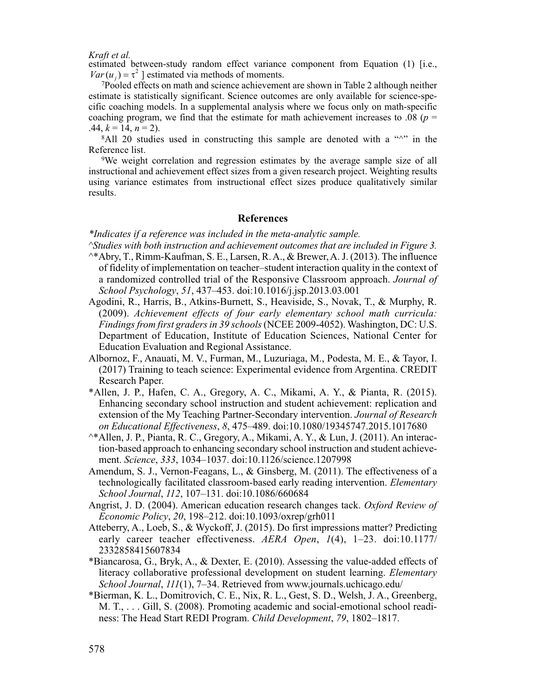estimated between-study random effect variance component from Equation (1) [i.e.,  $Var(u_i) = \tau^2$  ] estimated via methods of moments.

7Pooled effects on math and science achievement are shown in Table 2 although neither estimate is statistically significant. Science outcomes are only available for science-specific coaching models. In a supplemental analysis where we focus only on math-specific coaching program, we find that the estimate for math achievement increases to .08 ( $p =$ .44,  $k = 14$ ,  $n = 2$ ).

 $8$ All 20 studies used in constructing this sample are denoted with a " $\gamma$ " in the Reference list.

9We weight correlation and regression estimates by the average sample size of all instructional and achievement effect sizes from a given research project. Weighting results using variance estimates from instructional effect sizes produce qualitatively similar results.

#### **References**

*\*Indicates if a reference was included in the meta-analytic sample.*

- *^Studies with both instruction and achievement outcomes that are included in Figure 3.*
- ^\*Abry, T., Rimm-Kaufman, S. E., Larsen, R. A., & Brewer, A. J. (2013). The influence of fidelity of implementation on teacher–student interaction quality in the context of a randomized controlled trial of the Responsive Classroom approach. *Journal of School Psychology*, *51*, 437–453. doi:10.1016/j.jsp.2013.03.001
- Agodini, R., Harris, B., Atkins-Burnett, S., Heaviside, S., Novak, T., & Murphy, R. (2009). *Achievement effects of four early elementary school math curricula: Findings from first graders in 39 schools* (NCEE 2009-4052). Washington, DC: U.S. Department of Education, Institute of Education Sciences, National Center for Education Evaluation and Regional Assistance.
- Albornoz, F., Anauati, M. V., Furman, M., Luzuriaga, M., Podesta, M. E., & Tayor, I. (2017) Training to teach science: Experimental evidence from Argentina. CREDIT Research Paper.
- \*Allen, J. P., Hafen, C. A., Gregory, A. C., Mikami, A. Y., & Pianta, R. (2015). Enhancing secondary school instruction and student achievement: replication and extension of the My Teaching Partner-Secondary intervention. *Journal of Research on Educational Effectiveness*, *8*, 475–489. doi:10.1080/19345747.2015.1017680
- ^\*Allen, J. P., Pianta, R. C., Gregory, A., Mikami, A. Y., & Lun, J. (2011). An interaction-based approach to enhancing secondary school instruction and student achievement. *Science*, *333*, 1034–1037. doi:10.1126/science.1207998
- Amendum, S. J., Vernon-Feagans, L., & Ginsberg, M. (2011). The effectiveness of a technologically facilitated classroom-based early reading intervention. *Elementary School Journal*, *112*, 107–131. doi:10.1086/660684
- Angrist, J. D. (2004). American education research changes tack. *Oxford Review of Economic Policy*, *20*, 198–212. doi:10.1093/oxrep/grh011
- Atteberry, A., Loeb, S., & Wyckoff, J. (2015). Do first impressions matter? Predicting early career teacher effectiveness. *AERA Open*, *1*(4), 1–23. doi:10.1177/ 2332858415607834
- \*Biancarosa, G., Bryk, A., & Dexter, E. (2010). Assessing the value-added effects of literacy collaborative professional development on student learning. *Elementary School Journal*, *111*(1), 7–34. Retrieved from www.journals.uchicago.edu/
- \*Bierman, K. L., Domitrovich, C. E., Nix, R. L., Gest, S. D., Welsh, J. A., Greenberg, M. T., . . . Gill, S. (2008). Promoting academic and social-emotional school readiness: The Head Start REDI Program. *Child Development*, *79*, 1802–1817.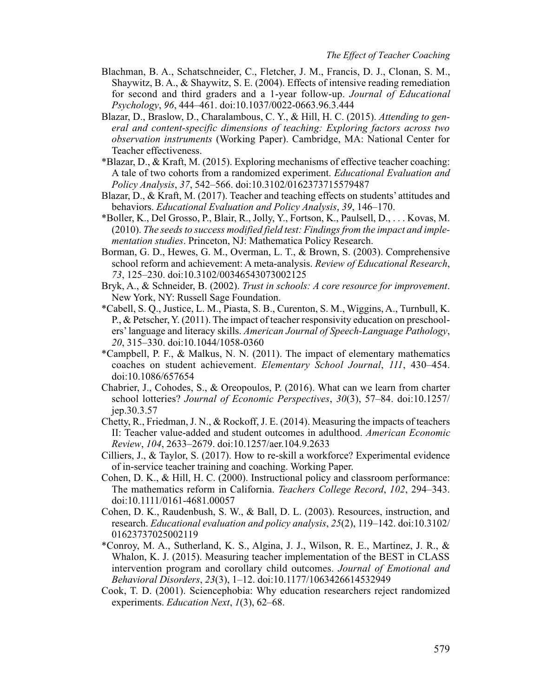- Blachman, B. A., Schatschneider, C., Fletcher, J. M., Francis, D. J., Clonan, S. M., Shaywitz, B. A., & Shaywitz, S. E. (2004). Effects of intensive reading remediation for second and third graders and a 1-year follow-up. *Journal of Educational Psychology*, *96*, 444–461. doi:10.1037/0022-0663.96.3.444
- Blazar, D., Braslow, D., Charalambous, C. Y., & Hill, H. C. (2015). *Attending to general and content-specific dimensions of teaching: Exploring factors across two observation instruments* (Working Paper). Cambridge, MA: National Center for Teacher effectiveness.
- \*Blazar, D., & Kraft, M. (2015). Exploring mechanisms of effective teacher coaching: A tale of two cohorts from a randomized experiment. *Educational Evaluation and Policy Analysis*, *37*, 542–566. doi:10.3102/0162373715579487
- Blazar, D., & Kraft, M. (2017). Teacher and teaching effects on students' attitudes and behaviors. *Educational Evaluation and Policy Analysis*, *39*, 146–170.
- \*Boller, K., Del Grosso, P., Blair, R., Jolly, Y., Fortson, K., Paulsell, D., . . . Kovas, M. (2010). *The seeds to success modified field test: Findings from the impact and implementation studies*. Princeton, NJ: Mathematica Policy Research.
- Borman, G. D., Hewes, G. M., Overman, L. T., & Brown, S. (2003). Comprehensive school reform and achievement: A meta-analysis. *Review of Educational Research*, *73*, 125–230. doi:10.3102/00346543073002125
- Bryk, A., & Schneider, B. (2002). *Trust in schools: A core resource for improvement*. New York, NY: Russell Sage Foundation.
- \*Cabell, S. Q., Justice, L. M., Piasta, S. B., Curenton, S. M., Wiggins, A., Turnbull, K. P., & Petscher, Y. (2011). The impact of teacher responsivity education on preschoolers' language and literacy skills. *American Journal of Speech-Language Pathology*, *20*, 315–330. doi:10.1044/1058-0360
- \*Campbell, P. F., & Malkus, N. N. (2011). The impact of elementary mathematics coaches on student achievement. *Elementary School Journal*, *111*, 430–454. doi:10.1086/657654
- Chabrier, J., Cohodes, S., & Oreopoulos, P. (2016). What can we learn from charter school lotteries? *Journal of Economic Perspectives*, *30*(3), 57–84. doi:10.1257/ jep.30.3.57
- Chetty, R., Friedman, J. N., & Rockoff, J. E. (2014). Measuring the impacts of teachers II: Teacher value-added and student outcomes in adulthood. *American Economic Review*, *104*, 2633–2679. doi:10.1257/aer.104.9.2633
- Cilliers, J., & Taylor, S. (2017). How to re-skill a workforce? Experimental evidence of in-service teacher training and coaching. Working Paper.
- Cohen, D. K., & Hill, H. C. (2000). Instructional policy and classroom performance: The mathematics reform in California. *Teachers College Record*, *102*, 294–343. doi:10.1111/0161-4681.00057
- Cohen, D. K., Raudenbush, S. W., & Ball, D. L. (2003). Resources, instruction, and research. *Educational evaluation and policy analysis*, *25*(2), 119–142. doi:10.3102/ 01623737025002119
- \*Conroy, M. A., Sutherland, K. S., Algina, J. J., Wilson, R. E., Martinez, J. R., & Whalon, K. J. (2015). Measuring teacher implementation of the BEST in CLASS intervention program and corollary child outcomes. *Journal of Emotional and Behavioral Disorders*, *23*(3), 1–12. doi:10.1177/1063426614532949
- Cook, T. D. (2001). Sciencephobia: Why education researchers reject randomized experiments. *Education Next*, *1*(3), 62–68.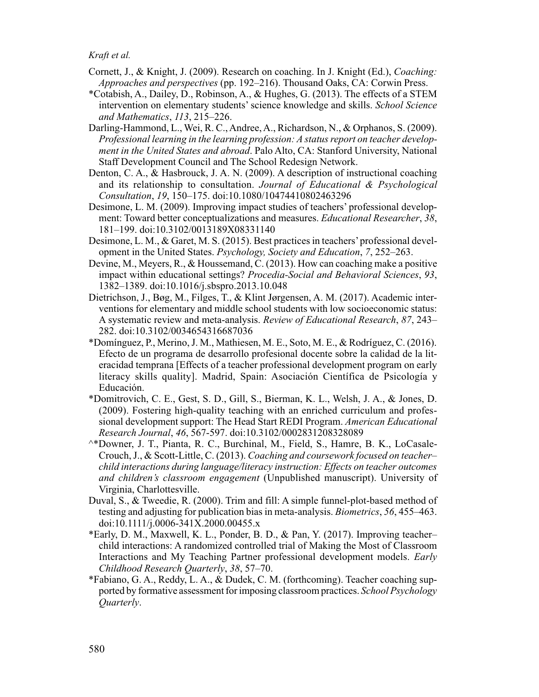- Cornett, J., & Knight, J. (2009). Research on coaching. In J. Knight (Ed.), *Coaching: Approaches and perspectives* (pp. 192–216). Thousand Oaks, CA: Corwin Press.
- \*Cotabish, A., Dailey, D., Robinson, A., & Hughes, G. (2013). The effects of a STEM intervention on elementary students' science knowledge and skills. *School Science and Mathematics*, *113*, 215–226.
- Darling-Hammond, L., Wei, R. C., Andree, A., Richardson, N., & Orphanos, S. (2009). *Professional learning in the learning profession: A status report on teacher development in the United States and abroad*. Palo Alto, CA: Stanford University, National Staff Development Council and The School Redesign Network.
- Denton, C. A., & Hasbrouck, J. A. N. (2009). A description of instructional coaching and its relationship to consultation. *Journal of Educational & Psychological Consultation*, *19*, 150–175. doi:10.1080/10474410802463296
- Desimone, L. M. (2009). Improving impact studies of teachers' professional development: Toward better conceptualizations and measures. *Educational Researcher*, *38*, 181–199. doi:10.3102/0013189X08331140
- Desimone, L. M., & Garet, M. S. (2015). Best practices in teachers' professional development in the United States. *Psychology, Society and Education*, *7*, 252–263.
- Devine, M., Meyers, R., & Houssemand, C. (2013). How can coaching make a positive impact within educational settings? *Procedia-Social and Behavioral Sciences*, *93*, 1382–1389. doi:10.1016/j.sbspro.2013.10.048
- Dietrichson, J., Bøg, M., Filges, T., & Klint Jørgensen, A. M. (2017). Academic interventions for elementary and middle school students with low socioeconomic status: A systematic review and meta-analysis. *Review of Educational Research*, *87*, 243– 282. doi:10.3102/0034654316687036
- \*Domínguez, P., Merino, J. M., Mathiesen, M. E., Soto, M. E., & Rodríguez, C. (2016). Efecto de un programa de desarrollo profesional docente sobre la calidad de la literacidad temprana [Effects of a teacher professional development program on early literacy skills quality]. Madrid, Spain: Asociación Científica de Psicología y Educación.
- \*Domitrovich, C. E., Gest, S. D., Gill, S., Bierman, K. L., Welsh, J. A., & Jones, D. (2009). Fostering high-quality teaching with an enriched curriculum and professional development support: The Head Start REDI Program. *American Educational Research Journal*, *46*, 567-597. doi:10.3102/0002831208328089
- ^\*Downer, J. T., Pianta, R. C., Burchinal, M., Field, S., Hamre, B. K., LoCasale-Crouch, J., & Scott-Little, C. (2013). *Coaching and coursework focused on teacher– child interactions during language/literacy instruction: Effects on teacher outcomes and children's classroom engagement* (Unpublished manuscript). University of Virginia, Charlottesville.
- Duval, S., & Tweedie, R. (2000). Trim and fill: A simple funnel-plot-based method of testing and adjusting for publication bias in meta-analysis. *Biometrics*, *56*, 455–463. doi:10.1111/j.0006-341X.2000.00455.x
- \*Early, D. M., Maxwell, K. L., Ponder, B. D., & Pan, Y. (2017). Improving teacher– child interactions: A randomized controlled trial of Making the Most of Classroom Interactions and My Teaching Partner professional development models. *Early Childhood Research Quarterly*, *38*, 57–70.
- \*Fabiano, G. A., Reddy, L. A., & Dudek, C. M. (forthcoming). Teacher coaching supported by formative assessment for imposing classroom practices. *School Psychology Quarterly*.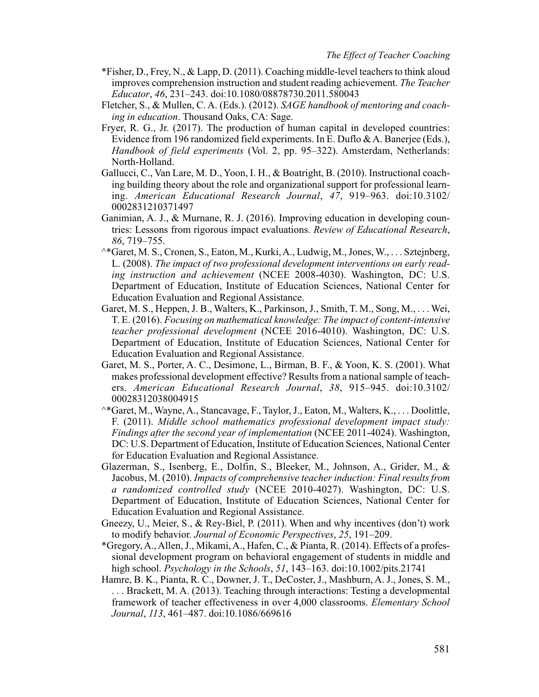- \*Fisher, D., Frey, N., & Lapp, D. (2011). Coaching middle-level teachers to think aloud improves comprehension instruction and student reading achievement. *The Teacher Educator*, *46*, 231–243. doi:10.1080/08878730.2011.580043
- Fletcher, S., & Mullen, C. A. (Eds.). (2012). *SAGE handbook of mentoring and coaching in education*. Thousand Oaks, CA: Sage.
- Fryer, R. G., Jr. (2017). The production of human capital in developed countries: Evidence from 196 randomized field experiments. In E. Duflo & A. Banerjee (Eds.), *Handbook of field experiments* (Vol. 2, pp. 95–322). Amsterdam, Netherlands: North-Holland.
- Gallucci, C., Van Lare, M. D., Yoon, I. H., & Boatright, B. (2010). Instructional coaching building theory about the role and organizational support for professional learning. *American Educational Research Journal*, *47*, 919–963. doi:10.3102/ 0002831210371497
- Ganimian, A. J., & Murnane, R. J. (2016). Improving education in developing countries: Lessons from rigorous impact evaluations. *Review of Educational Research*, *86*, 719–755.
- ^\*Garet, M. S., Cronen, S., Eaton, M., Kurki, A., Ludwig, M., Jones, W., . . . Sztejnberg, L. (2008). *The impact of two professional development interventions on early reading instruction and achievement* (NCEE 2008-4030). Washington, DC: U.S. Department of Education, Institute of Education Sciences, National Center for Education Evaluation and Regional Assistance.
- Garet, M. S., Heppen, J. B., Walters, K., Parkinson, J., Smith, T. M., Song, M., . . . Wei, T. E. (2016). *Focusing on mathematical knowledge: The impact of content-intensive teacher professional development* (NCEE 2016-4010). Washington, DC: U.S. Department of Education, Institute of Education Sciences, National Center for Education Evaluation and Regional Assistance.
- Garet, M. S., Porter, A. C., Desimone, L., Birman, B. F., & Yoon, K. S. (2001). What makes professional development effective? Results from a national sample of teachers. *American Educational Research Journal*, *38*, 915–945. doi:10.3102/ 00028312038004915
- ^\*Garet, M., Wayne, A., Stancavage, F., Taylor, J., Eaton, M., Walters, K., . . . Doolittle, F. (2011). *Middle school mathematics professional development impact study: Findings after the second year of implementation* (NCEE 2011-4024). Washington, DC: U.S. Department of Education, Institute of Education Sciences, National Center for Education Evaluation and Regional Assistance.
- Glazerman, S., Isenberg, E., Dolfin, S., Bleeker, M., Johnson, A., Grider, M., & Jacobus, M. (2010). *Impacts of comprehensive teacher induction: Final results from a randomized controlled study* (NCEE 2010-4027). Washington, DC: U.S. Department of Education, Institute of Education Sciences, National Center for Education Evaluation and Regional Assistance.
- Gneezy, U., Meier, S., & Rey-Biel, P. (2011). When and why incentives (don't) work to modify behavior. *Journal of Economic Perspectives*, *25*, 191–209.
- \*Gregory, A., Allen, J., Mikami, A., Hafen, C., & Pianta, R. (2014). Effects of a professional development program on behavioral engagement of students in middle and high school. *Psychology in the Schools*, *51*, 143–163. doi:10.1002/pits.21741
- Hamre, B. K., Pianta, R. C., Downer, J. T., DeCoster, J., Mashburn, A. J., Jones, S. M., . . . Brackett, M. A. (2013). Teaching through interactions: Testing a developmental framework of teacher effectiveness in over 4,000 classrooms. *Elementary School Journal*, *113*, 461–487. doi:10.1086/669616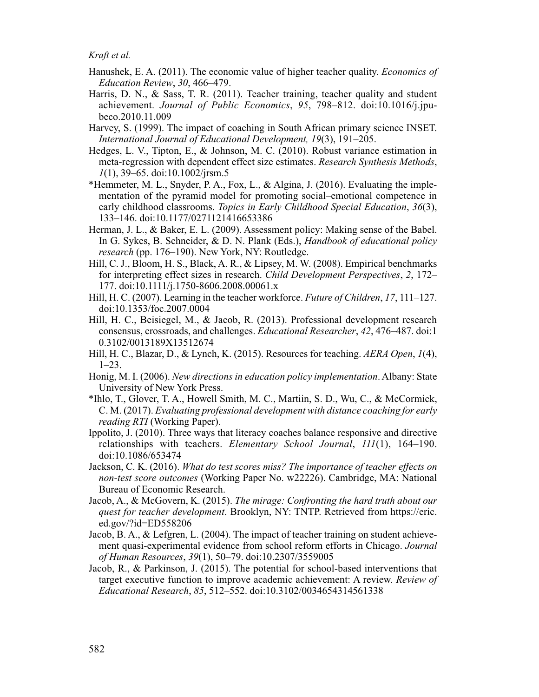- Hanushek, E. A. (2011). The economic value of higher teacher quality. *Economics of Education Review*, *30*, 466–479.
- Harris, D. N., & Sass, T. R. (2011). Teacher training, teacher quality and student achievement. *Journal of Public Economics*, *95*, 798–812. doi:10.1016/j.jpubeco.2010.11.009
- Harvey, S. (1999). The impact of coaching in South African primary science INSET. *International Journal of Educational Development, 19*(3), 191–205.
- Hedges, L. V., Tipton, E., & Johnson, M. C. (2010). Robust variance estimation in meta-regression with dependent effect size estimates. *Research Synthesis Methods*, *1*(1), 39–65. doi:10.1002/jrsm.5
- \*Hemmeter, M. L., Snyder, P. A., Fox, L., & Algina, J. (2016). Evaluating the implementation of the pyramid model for promoting social–emotional competence in early childhood classrooms. *Topics in Early Childhood Special Education*, *36*(3), 133–146. doi:10.1177/0271121416653386
- Herman, J. L., & Baker, E. L. (2009). Assessment policy: Making sense of the Babel. In G. Sykes, B. Schneider, & D. N. Plank (Eds.), *Handbook of educational policy research* (pp. 176–190). New York, NY: Routledge.
- Hill, C. J., Bloom, H. S., Black, A. R., & Lipsey, M. W. (2008). Empirical benchmarks for interpreting effect sizes in research. *Child Development Perspectives*, *2*, 172– 177. doi:10.1111/j.1750-8606.2008.00061.x
- Hill, H. C. (2007). Learning in the teacher workforce. *Future of Children*, *17*, 111–127. doi:10.1353/foc.2007.0004
- Hill, H. C., Beisiegel, M., & Jacob, R. (2013). Professional development research consensus, crossroads, and challenges. *Educational Researcher*, *42*, 476–487. doi:1 0.3102/0013189X13512674
- Hill, H. C., Blazar, D., & Lynch, K. (2015). Resources for teaching. *AERA Open*, *1*(4),  $1-23$ .
- Honig, M. I. (2006). *New directions in education policy implementation*. Albany: State University of New York Press.
- \*Ihlo, T., Glover, T. A., Howell Smith, M. C., Martiin, S. D., Wu, C., & McCormick, C. M. (2017). *Evaluating professional development with distance coaching for early reading RTI* (Working Paper).
- Ippolito, J. (2010). Three ways that literacy coaches balance responsive and directive relationships with teachers. *Elementary School Journal*, *111*(1), 164–190. doi:10.1086/653474
- Jackson, C. K. (2016). *What do test scores miss? The importance of teacher effects on non-test score outcomes* (Working Paper No. w22226). Cambridge, MA: National Bureau of Economic Research.
- Jacob, A., & McGovern, K. (2015). *The mirage: Confronting the hard truth about our quest for teacher development*. Brooklyn, NY: TNTP. Retrieved from https://eric. ed.gov/?id=ED558206
- Jacob, B. A., & Lefgren, L. (2004). The impact of teacher training on student achievement quasi-experimental evidence from school reform efforts in Chicago. *Journal of Human Resources*, *39*(1), 50–79. doi:10.2307/3559005
- Jacob, R., & Parkinson, J. (2015). The potential for school-based interventions that target executive function to improve academic achievement: A review. *Review of Educational Research*, *85*, 512–552. doi:10.3102/0034654314561338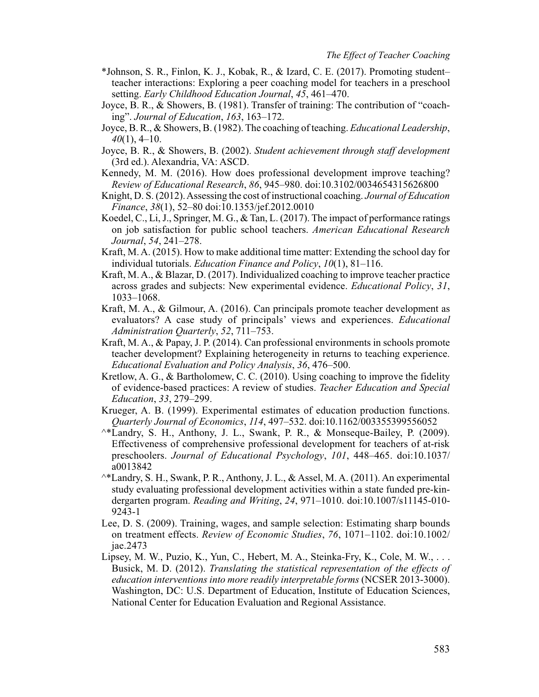- \*Johnson, S. R., Finlon, K. J., Kobak, R., & Izard, C. E. (2017). Promoting student– teacher interactions: Exploring a peer coaching model for teachers in a preschool setting. *Early Childhood Education Journal*, *45*, 461–470.
- Joyce, B. R., & Showers, B. (1981). Transfer of training: The contribution of "coaching". *Journal of Education*, *163*, 163–172.
- Joyce, B. R., & Showers, B. (1982). The coaching of teaching. *Educational Leadership*, *40*(1), 4–10.
- Joyce, B. R., & Showers, B. (2002). *Student achievement through staff development* (3rd ed.). Alexandria, VA: ASCD.
- Kennedy, M. M. (2016). How does professional development improve teaching? *Review of Educational Research*, *86*, 945–980. doi:10.3102/0034654315626800
- Knight, D. S. (2012). Assessing the cost of instructional coaching. *Journal of Education Finance*, *38*(1), 52–80 doi:10.1353/jef.2012.0010
- Koedel, C., Li, J., Springer, M. G., & Tan, L. (2017). The impact of performance ratings on job satisfaction for public school teachers. *American Educational Research Journal*, *54*, 241–278.
- Kraft, M. A. (2015). How to make additional time matter: Extending the school day for individual tutorials. *Education Finance and Policy*, *10*(1), 81–116.
- Kraft, M. A., & Blazar, D. (2017). Individualized coaching to improve teacher practice across grades and subjects: New experimental evidence. *Educational Policy*, *31*, 1033–1068.
- Kraft, M. A., & Gilmour, A. (2016). Can principals promote teacher development as evaluators? A case study of principals' views and experiences. *Educational Administration Quarterly*, *52*, 711–753.
- Kraft, M. A., & Papay, J. P. (2014). Can professional environments in schools promote teacher development? Explaining heterogeneity in returns to teaching experience. *Educational Evaluation and Policy Analysis*, *36*, 476–500.
- Kretlow, A. G., & Bartholomew, C. C. (2010). Using coaching to improve the fidelity of evidence-based practices: A review of studies. *Teacher Education and Special Education*, *33*, 279–299.
- Krueger, A. B. (1999). Experimental estimates of education production functions. *Quarterly Journal of Economics*, *114*, 497–532. doi:10.1162/003355399556052
- ^\*Landry, S. H., Anthony, J. L., Swank, P. R., & Monseque-Bailey, P. (2009). Effectiveness of comprehensive professional development for teachers of at-risk preschoolers. *Journal of Educational Psychology*, *101*, 448–465. doi:10.1037/ a0013842
- ^\*Landry, S. H., Swank, P. R., Anthony, J. L., & Assel, M. A. (2011). An experimental study evaluating professional development activities within a state funded pre-kindergarten program. *Reading and Writing*, *24*, 971–1010. doi:10.1007/s11145-010- 9243-1
- Lee, D. S. (2009). Training, wages, and sample selection: Estimating sharp bounds on treatment effects. *Review of Economic Studies*, *76*, 1071–1102. doi:10.1002/ jae.2473
- Lipsey, M. W., Puzio, K., Yun, C., Hebert, M. A., Steinka-Fry, K., Cole, M. W., . . . Busick, M. D. (2012). *Translating the statistical representation of the effects of education interventions into more readily interpretable forms* (NCSER 2013-3000). Washington, DC: U.S. Department of Education, Institute of Education Sciences, National Center for Education Evaluation and Regional Assistance.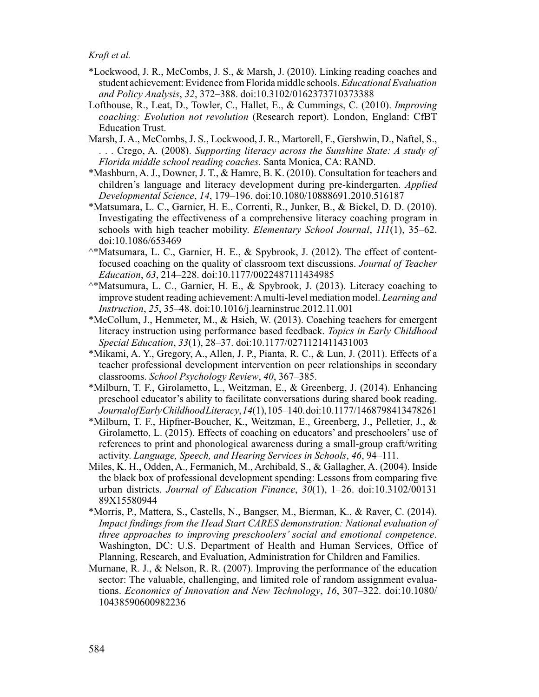- \*Lockwood, J. R., McCombs, J. S., & Marsh, J. (2010). Linking reading coaches and student achievement: Evidence from Florida middle schools. *Educational Evaluation and Policy Analysis*, *32*, 372–388. doi:10.3102/0162373710373388
- Lofthouse, R., Leat, D., Towler, C., Hallet, E., & Cummings, C. (2010). *Improving coaching: Evolution not revolution* (Research report). London, England: CfBT Education Trust.
- Marsh, J. A., McCombs, J. S., Lockwood, J. R., Martorell, F., Gershwin, D., Naftel, S., . . . Crego, A. (2008). *Supporting literacy across the Sunshine State: A study of Florida middle school reading coaches*. Santa Monica, CA: RAND.
- \*Mashburn, A. J., Downer, J. T., & Hamre, B. K. (2010). Consultation for teachers and children's language and literacy development during pre-kindergarten. *Applied Developmental Science*, *14*, 179–196. doi:10.1080/10888691.2010.516187
- \*Matsumara, L. C., Garnier, H. E., Correnti, R., Junker, B., & Bickel, D. D. (2010). Investigating the effectiveness of a comprehensive literacy coaching program in schools with high teacher mobility. *Elementary School Journal*, *111*(1), 35–62. doi:10.1086/653469
- $^{\wedge*}$ Matsumara, L. C., Garnier, H. E., & Spybrook, J. (2012). The effect of contentfocused coaching on the quality of classroom text discussions. *Journal of Teacher Education*, *63*, 214–228. doi:10.1177/0022487111434985
- ^\*Matsumura, L. C., Garnier, H. E., & Spybrook, J. (2013). Literacy coaching to improve student reading achievement: A multi-level mediation model. *Learning and Instruction*, *25*, 35–48. doi:10.1016/j.learninstruc.2012.11.001
- \*McCollum, J., Hemmeter, M., & Hsieh, W. (2013). Coaching teachers for emergent literacy instruction using performance based feedback. *Topics in Early Childhood Special Education*, *33*(1), 28–37. doi:10.1177/0271121411431003
- \*Mikami, A. Y., Gregory, A., Allen, J. P., Pianta, R. C., & Lun, J. (2011). Effects of a teacher professional development intervention on peer relationships in secondary classrooms. *School Psychology Review*, *40*, 367–385.
- \*Milburn, T. F., Girolametto, L., Weitzman, E., & Greenberg, J. (2014). Enhancing preschool educator's ability to facilitate conversations during shared book reading. *Journal of Early Childhood Literacy*, *14*(1), 105–140. doi:10.1177/1468798413478261
- \*Milburn, T. F., Hipfner-Boucher, K., Weitzman, E., Greenberg, J., Pelletier, J., & Girolametto, L. (2015). Effects of coaching on educators' and preschoolers' use of references to print and phonological awareness during a small-group craft/writing activity. *Language, Speech, and Hearing Services in Schools*, *46*, 94–111.
- Miles, K. H., Odden, A., Fermanich, M., Archibald, S., & Gallagher, A. (2004). Inside the black box of professional development spending: Lessons from comparing five urban districts. *Journal of Education Finance*, *30*(1), 1–26. doi:10.3102/00131 89X15580944
- \*Morris, P., Mattera, S., Castells, N., Bangser, M., Bierman, K., & Raver, C. (2014). *Impact findings from the Head Start CARES demonstration: National evaluation of three approaches to improving preschoolers' social and emotional competence*. Washington, DC: U.S. Department of Health and Human Services, Office of Planning, Research, and Evaluation, Administration for Children and Families.
- Murnane, R. J., & Nelson, R. R. (2007). Improving the performance of the education sector: The valuable, challenging, and limited role of random assignment evaluations. *Economics of Innovation and New Technology*, *16*, 307–322. doi:10.1080/ 10438590600982236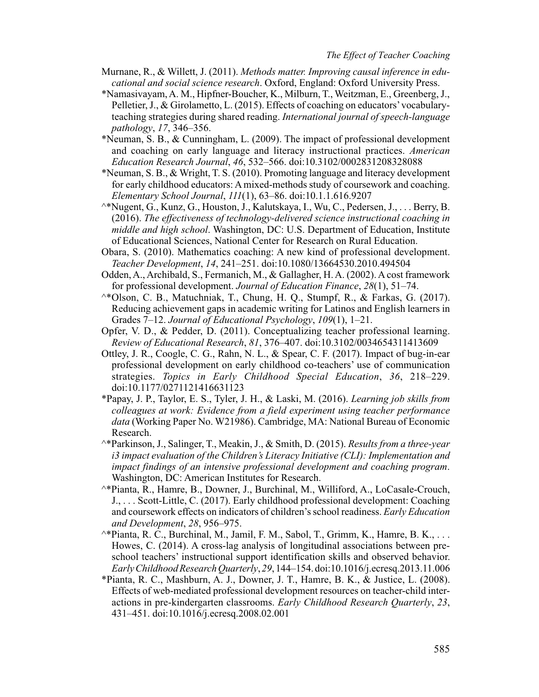- Murnane, R., & Willett, J. (2011). *Methods matter. Improving causal inference in educational and social science research*. Oxford, England: Oxford University Press.
- \*Namasivayam, A. M., Hipfner-Boucher, K., Milburn, T., Weitzman, E., Greenberg, J., Pelletier, J., & Girolametto, L. (2015). Effects of coaching on educators' vocabularyteaching strategies during shared reading. *International journal of speech-language pathology*, *17*, 346–356.
- \*Neuman, S. B., & Cunningham, L. (2009). The impact of professional development and coaching on early language and literacy instructional practices. *American Education Research Journal*, *46*, 532–566. doi:10.3102/0002831208328088
- \*Neuman, S. B., & Wright, T. S. (2010). Promoting language and literacy development for early childhood educators: A mixed-methods study of coursework and coaching. *Elementary School Journal*, *111*(1), 63–86. doi:10.1.1.616.9207
- ^\*Nugent, G., Kunz, G., Houston, J., Kalutskaya, I., Wu, C., Pedersen, J., . . . Berry, B. (2016). *The effectiveness of technology-delivered science instructional coaching in middle and high school*. Washington, DC: U.S. Department of Education, Institute of Educational Sciences, National Center for Research on Rural Education.
- Obara, S. (2010). Mathematics coaching: A new kind of professional development. *Teacher Development*, *14*, 241–251. doi:10.1080/13664530.2010.494504
- Odden, A., Archibald, S., Fermanich, M., & Gallagher, H. A. (2002). A cost framework for professional development. *Journal of Education Finance*, *28*(1), 51–74.
- ^\*Olson, C. B., Matuchniak, T., Chung, H. Q., Stumpf, R., & Farkas, G. (2017). Reducing achievement gaps in academic writing for Latinos and English learners in Grades 7–12. *Journal of Educational Psychology*, *109*(1), 1–21.
- Opfer, V. D., & Pedder, D. (2011). Conceptualizing teacher professional learning. *Review of Educational Research*, *81*, 376–407. doi:10.3102/0034654311413609
- Ottley, J. R., Coogle, C. G., Rahn, N. L., & Spear, C. F. (2017). Impact of bug-in-ear professional development on early childhood co-teachers' use of communication strategies. *Topics in Early Childhood Special Education*, *36*, 218–229. doi:10.1177/0271121416631123
- \*Papay, J. P., Taylor, E. S., Tyler, J. H., & Laski, M. (2016). *Learning job skills from colleagues at work: Evidence from a field experiment using teacher performance data* (Working Paper No. W21986). Cambridge, MA: National Bureau of Economic Research.
- ^\*Parkinson, J., Salinger, T., Meakin, J., & Smith, D. (2015). *Results from a three-year i3 impact evaluation of the Children's Literacy Initiative (CLI): Implementation and impact findings of an intensive professional development and coaching program*. Washington, DC: American Institutes for Research.
- ^\*Pianta, R., Hamre, B., Downer, J., Burchinal, M., Williford, A., LoCasale-Crouch, J., . . . Scott-Little, C. (2017). Early childhood professional development: Coaching and coursework effects on indicators of children's school readiness. *Early Education and Development*, *28*, 956–975.
- ^\*Pianta, R. C., Burchinal, M., Jamil, F. M., Sabol, T., Grimm, K., Hamre, B. K., . . . Howes, C. (2014). A cross-lag analysis of longitudinal associations between preschool teachers' instructional support identification skills and observed behavior. *Early Childhood Research Quarterly*, *29*, 144–154. doi:10.1016/j.ecresq.2013.11.006
- \*Pianta, R. C., Mashburn, A. J., Downer, J. T., Hamre, B. K., & Justice, L. (2008). Effects of web-mediated professional development resources on teacher-child interactions in pre-kindergarten classrooms. *Early Childhood Research Quarterly*, *23*, 431–451. doi:10.1016/j.ecresq.2008.02.001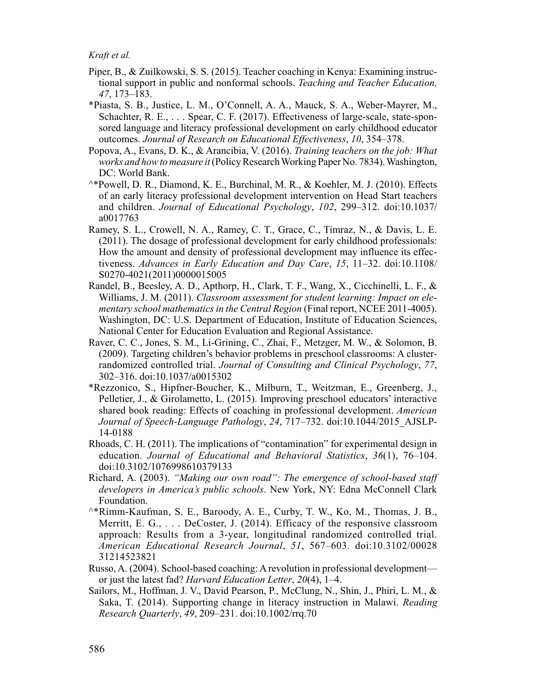- Piper, B., & Zuilkowski, S. S. (2015). Teacher coaching in Kenya: Examining instructional support in public and nonformal schools. *Teaching and Teacher Education, 47*, 173–183.
- \*Piasta, S. B., Justice, L. M., O'Connell, A. A., Mauck, S. A., Weber-Mayrer, M., Schachter, R. E., . . . Spear, C. F. (2017). Effectiveness of large-scale, state-sponsored language and literacy professional development on early childhood educator outcomes. *Journal of Research on Educational Effectiveness*, *10*, 354–378.
- Popova, A., Evans, D. K., & Arancibia, V. (2016). *Training teachers on the job: What works and how to measure it* (Policy Research Working Paper No. 7834). Washington, DC: World Bank.
- ^\*Powell, D. R., Diamond, K. E., Burchinal, M. R., & Koehler, M. J. (2010). Effects of an early literacy professional development intervention on Head Start teachers and children. *Journal of Educational Psychology*, *102*, 299–312. doi:10.1037/ a0017763
- Ramey, S. L., Crowell, N. A., Ramey, C. T., Grace, C., Timraz, N., & Davis, L. E. (2011). The dosage of professional development for early childhood professionals: How the amount and density of professional development may influence its effectiveness. *Advances in Early Education and Day Care*, *15*, 11–32. doi:10.1108/ S0270-4021(2011)0000015005
- Randel, B., Beesley, A. D., Apthorp, H., Clark, T. F., Wang, X., Cicchinelli, L. F., & Williams, J. M. (2011). *Classroom assessment for student learning: Impact on elementary school mathematics in the Central Region* (Final report, NCEE 2011-4005). Washington, DC: U.S. Department of Education, Institute of Education Sciences, National Center for Education Evaluation and Regional Assistance.
- Raver, C. C., Jones, S. M., Li-Grining, C., Zhai, F., Metzger, M. W., & Solomon, B. (2009). Targeting children's behavior problems in preschool classrooms: A clusterrandomized controlled trial. *Journal of Consulting and Clinical Psychology*, *77*, 302–316. doi:10.1037/a0015302
- \*Rezzonico, S., Hipfner-Boucher, K., Milburn, T., Weitzman, E., Greenberg, J., Pelletier, J., & Girolametto, L. (2015). Improving preschool educators' interactive shared book reading: Effects of coaching in professional development. *American Journal of Speech-Language Pathology*, *24*, 717–732. doi:10.1044/2015\_AJSLP-14-0188
- Rhoads, C. H. (2011). The implications of "contamination" for experimental design in education. *Journal of Educational and Behavioral Statistics*, *36*(1), 76–104. doi:10.3102/1076998610379133
- Richard, A. (2003). *"Making our own road": The emergence of school-based staff developers in America's public schools*. New York, NY: Edna McConnell Clark Foundation.
- ^\*Rimm-Kaufman, S. E., Baroody, A. E., Curby, T. W., Ko, M., Thomas, J. B., Merritt, E. G.,  $\dots$  DeCoster, J. (2014). Efficacy of the responsive classroom approach: Results from a 3-year, longitudinal randomized controlled trial. *American Educational Research Journal*, *51*, 567–603. doi:10.3102/00028 31214523821
- Russo, A. (2004). School-based coaching: A revolution in professional development or just the latest fad? *Harvard Education Letter*, *20*(4), 1–4.
- Sailors, M., Hoffman, J. V., David Pearson, P., McClung, N., Shin, J., Phiri, L. M., & Saka, T. (2014). Supporting change in literacy instruction in Malawi. *Reading Research Quarterly*, *49*, 209–231. doi:10.1002/rrq.70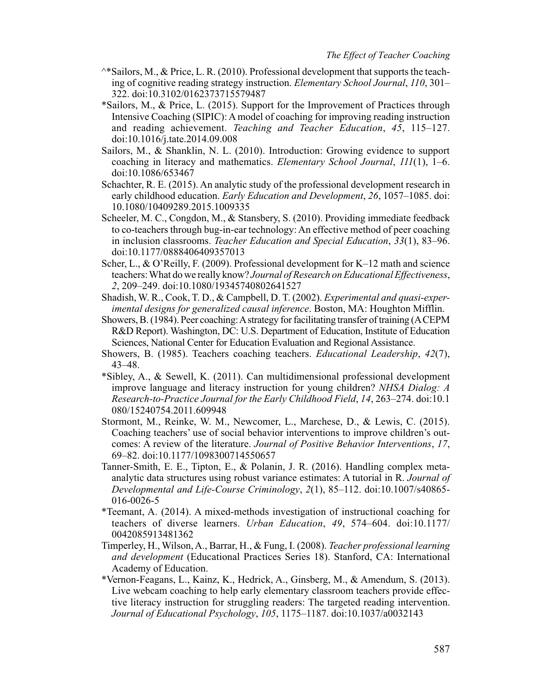- $^{\wedge *}$ Sailors, M., & Price, L. R. (2010). Professional development that supports the teaching of cognitive reading strategy instruction. *Elementary School Journal*, *110*, 301– 322. doi:10.3102/0162373715579487
- \*Sailors, M., & Price, L. (2015). Support for the Improvement of Practices through Intensive Coaching (SIPIC): A model of coaching for improving reading instruction and reading achievement. *Teaching and Teacher Education*, *45*, 115–127. doi:10.1016/j.tate.2014.09.008
- Sailors, M., & Shanklin, N. L. (2010). Introduction: Growing evidence to support coaching in literacy and mathematics. *Elementary School Journal*, *111*(1), 1–6. doi:10.1086/653467
- Schachter, R. E. (2015). An analytic study of the professional development research in early childhood education. *Early Education and Development*, *26*, 1057–1085. doi: 10.1080/10409289.2015.1009335
- Scheeler, M. C., Congdon, M., & Stansbery, S. (2010). Providing immediate feedback to co-teachers through bug-in-ear technology: An effective method of peer coaching in inclusion classrooms. *Teacher Education and Special Education*, *33*(1), 83–96. doi:10.1177/0888406409357013
- Scher, L., & O'Reilly, F. (2009). Professional development for K–12 math and science teachers: What do we really know? *Journal of Research on Educational Effectiveness*, *2*, 209–249. doi:10.1080/19345740802641527
- Shadish, W. R., Cook, T. D., & Campbell, D. T. (2002). *Experimental and quasi-experimental designs for generalized causal inference*. Boston, MA: Houghton Mifflin.
- Showers, B. (1984). Peer coaching: A strategy for facilitating transfer of training (A CEPM R&D Report). Washington, DC: U.S. Department of Education, Institute of Education Sciences, National Center for Education Evaluation and Regional Assistance.
- Showers, B. (1985). Teachers coaching teachers. *Educational Leadership*, *42*(7), 43–48.
- \*Sibley, A., & Sewell, K. (2011). Can multidimensional professional development improve language and literacy instruction for young children? *NHSA Dialog: A Research-to-Practice Journal for the Early Childhood Field*, *14*, 263–274. doi:10.1 080/15240754.2011.609948
- Stormont, M., Reinke, W. M., Newcomer, L., Marchese, D., & Lewis, C. (2015). Coaching teachers' use of social behavior interventions to improve children's outcomes: A review of the literature. *Journal of Positive Behavior Interventions*, *17*, 69–82. doi:10.1177/1098300714550657
- Tanner-Smith, E. E., Tipton, E., & Polanin, J. R. (2016). Handling complex metaanalytic data structures using robust variance estimates: A tutorial in R. *Journal of Developmental and Life-Course Criminology*, *2*(1), 85–112. doi:10.1007/s40865- 016-0026-5
- \*Teemant, A. (2014). A mixed-methods investigation of instructional coaching for teachers of diverse learners. *Urban Education*, *49*, 574–604. doi:10.1177/ 0042085913481362
- Timperley, H., Wilson, A., Barrar, H., & Fung, I. (2008). *Teacher professional learning and development* (Educational Practices Series 18). Stanford, CA: International Academy of Education.
- \*Vernon-Feagans, L., Kainz, K., Hedrick, A., Ginsberg, M., & Amendum, S. (2013). Live webcam coaching to help early elementary classroom teachers provide effective literacy instruction for struggling readers: The targeted reading intervention. *Journal of Educational Psychology*, *105*, 1175–1187. doi:10.1037/a0032143